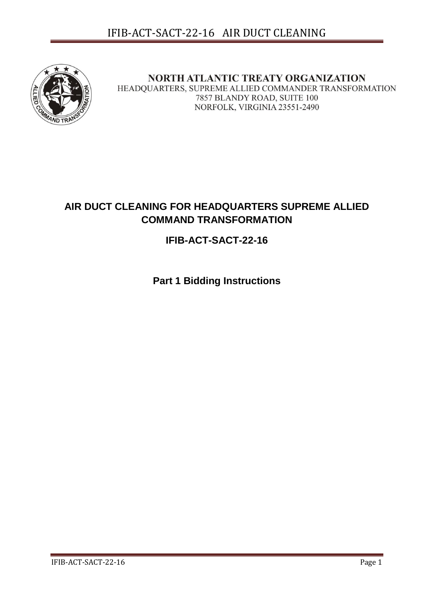

NORTH ATLANTIC TREATY ORGANIZATION HEADQUARTERS, SUPREME ALLIED COMMANDER TRANSFORMATION 7857 BLANDY ROAD, SUITE 100 NORFOLK, VIRGINIA 23551-2490

# **AIR DUCT CLEANING FOR HEADQUARTERS SUPREME ALLIED COMMAND TRANSFORMATION**

# **IFIB-ACT-SACT-22-16**

**Part 1 Bidding Instructions**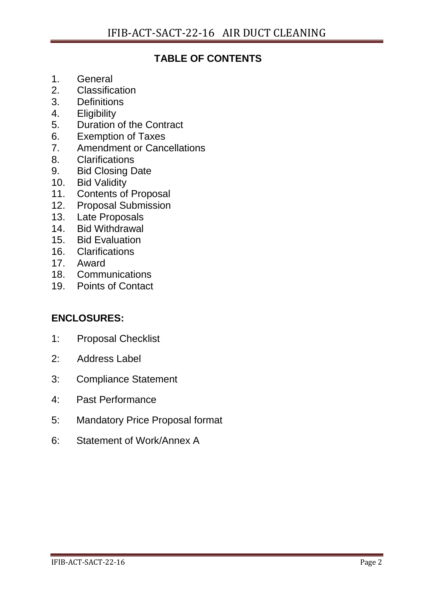# **TABLE OF CONTENTS**

- 1. General
- 2. Classification
- 3. Definitions
- 4. Eligibility
- 5. Duration of the Contract
- 6. Exemption of Taxes
- 7. Amendment or Cancellations
- 8. Clarifications
- 9. Bid Closing Date
- 10. Bid Validity
- 11. Contents of Proposal
- 12. Proposal Submission
- 13. Late Proposals<br>14. Bid Withdrawal
- **Bid Withdrawal**
- 15. Bid Evaluation
- 16. Clarifications
- 17. Award
- 18. Communications
- 19. Points of Contact

# **ENCLOSURES:**

- 1: Proposal Checklist
- 2: Address Label
- 3: Compliance Statement
- 4: Past Performance
- 5: Mandatory Price Proposal format
- 6: Statement of Work/Annex A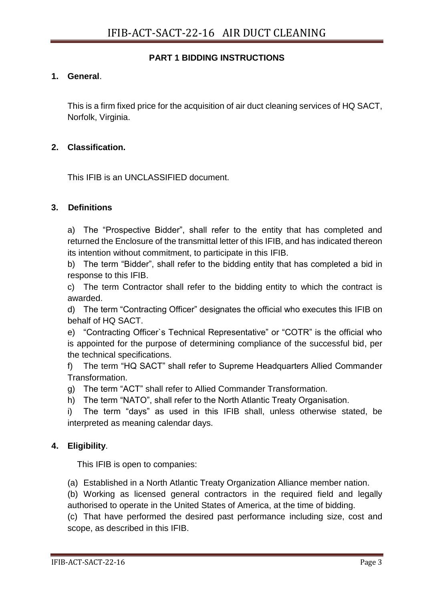# **PART 1 BIDDING INSTRUCTIONS**

# **1. General**.

This is a firm fixed price for the acquisition of air duct cleaning services of HQ SACT, Norfolk, Virginia.

# **2. Classification.**

This IFIB is an UNCLASSIFIED document.

# **3. Definitions**

a) The "Prospective Bidder", shall refer to the entity that has completed and returned the Enclosure of the transmittal letter of this IFIB, and has indicated thereon its intention without commitment, to participate in this IFIB.

b) The term "Bidder", shall refer to the bidding entity that has completed a bid in response to this IFIB.

c) The term Contractor shall refer to the bidding entity to which the contract is awarded.

d) The term "Contracting Officer" designates the official who executes this IFIB on behalf of HQ SACT.

e) "Contracting Officer`s Technical Representative" or "COTR" is the official who is appointed for the purpose of determining compliance of the successful bid, per the technical specifications.

f) The term "HQ SACT" shall refer to Supreme Headquarters Allied Commander Transformation.

g) The term "ACT" shall refer to Allied Commander Transformation.

h) The term "NATO", shall refer to the North Atlantic Treaty Organisation.

i) The term "days" as used in this IFIB shall, unless otherwise stated, be interpreted as meaning calendar days.

# **4. Eligibility**.

This IFIB is open to companies:

(a) Established in a North Atlantic Treaty Organization Alliance member nation.

(b) Working as licensed general contractors in the required field and legally authorised to operate in the United States of America, at the time of bidding.

(c) That have performed the desired past performance including size, cost and scope, as described in this IFIB.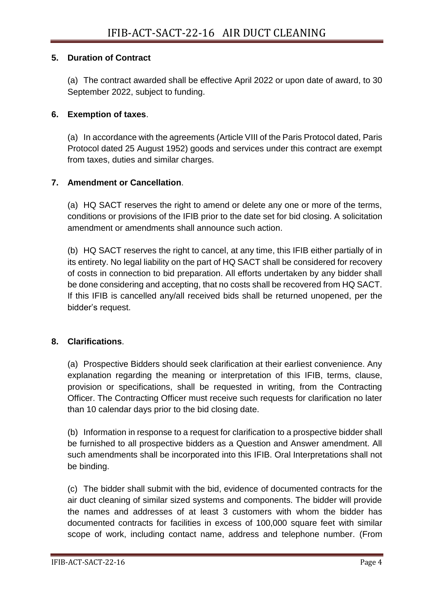# **5. Duration of Contract**

(a) The contract awarded shall be effective April 2022 or upon date of award, to 30 September 2022, subject to funding.

# **6. Exemption of taxes**.

(a) In accordance with the agreements (Article VIII of the Paris Protocol dated, Paris Protocol dated 25 August 1952) goods and services under this contract are exempt from taxes, duties and similar charges.

# **7. Amendment or Cancellation**.

(a) HQ SACT reserves the right to amend or delete any one or more of the terms, conditions or provisions of the IFIB prior to the date set for bid closing. A solicitation amendment or amendments shall announce such action.

(b) HQ SACT reserves the right to cancel, at any time, this IFIB either partially of in its entirety. No legal liability on the part of HQ SACT shall be considered for recovery of costs in connection to bid preparation. All efforts undertaken by any bidder shall be done considering and accepting, that no costs shall be recovered from HQ SACT. If this IFIB is cancelled any/all received bids shall be returned unopened, per the bidder's request.

# **8. Clarifications**.

(a) Prospective Bidders should seek clarification at their earliest convenience. Any explanation regarding the meaning or interpretation of this IFIB, terms, clause, provision or specifications, shall be requested in writing, from the Contracting Officer. The Contracting Officer must receive such requests for clarification no later than 10 calendar days prior to the bid closing date.

(b) Information in response to a request for clarification to a prospective bidder shall be furnished to all prospective bidders as a Question and Answer amendment. All such amendments shall be incorporated into this IFIB. Oral Interpretations shall not be binding.

(c) The bidder shall submit with the bid, evidence of documented contracts for the air duct cleaning of similar sized systems and components. The bidder will provide the names and addresses of at least 3 customers with whom the bidder has documented contracts for facilities in excess of 100,000 square feet with similar scope of work, including contact name, address and telephone number. (From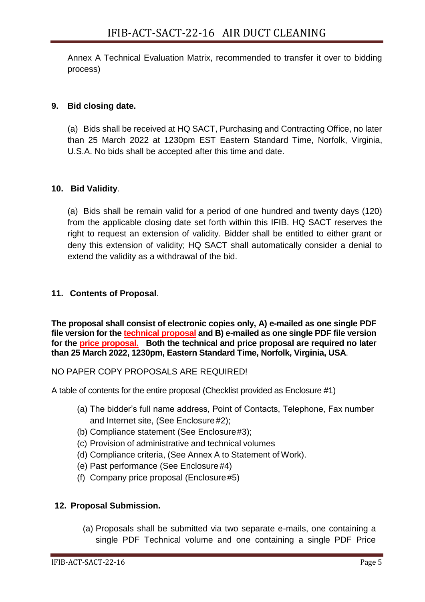Annex A Technical Evaluation Matrix, recommended to transfer it over to bidding process)

# **9. Bid closing date.**

(a) Bids shall be received at HQ SACT, Purchasing and Contracting Office, no later than 25 March 2022 at 1230pm EST Eastern Standard Time, Norfolk, Virginia, U.S.A. No bids shall be accepted after this time and date.

## **10. Bid Validity**.

(a) Bids shall be remain valid for a period of one hundred and twenty days (120) from the applicable closing date set forth within this IFIB. HQ SACT reserves the right to request an extension of validity. Bidder shall be entitled to either grant or deny this extension of validity; HQ SACT shall automatically consider a denial to extend the validity as a withdrawal of the bid.

## **11. Contents of Proposal**.

**The proposal shall consist of electronic copies only, A) e-mailed as one single PDF file version for the technical proposal and B) e-mailed as one single PDF file version for the price proposal. Both the technical and price proposal are required no later than 25 March 2022, 1230pm, Eastern Standard Time, Norfolk, Virginia, USA**.

### NO PAPER COPY PROPOSALS ARE REQUIRED!

A table of contents for the entire proposal (Checklist provided as Enclosure #1)

- (a) The bidder's full name address, Point of Contacts, Telephone, Fax number and Internet site, (See Enclosure#2);
- (b) Compliance statement (See Enclosure#3);
- (c) Provision of administrative and technical volumes
- (d) Compliance criteria, (See Annex A to Statement of Work).
- (e) Past performance (See Enclosure#4)
- (f) Company price proposal (Enclosure#5)

### **12. Proposal Submission.**

(a) Proposals shall be submitted via two separate e-mails, one containing a single PDF Technical volume and one containing a single PDF Price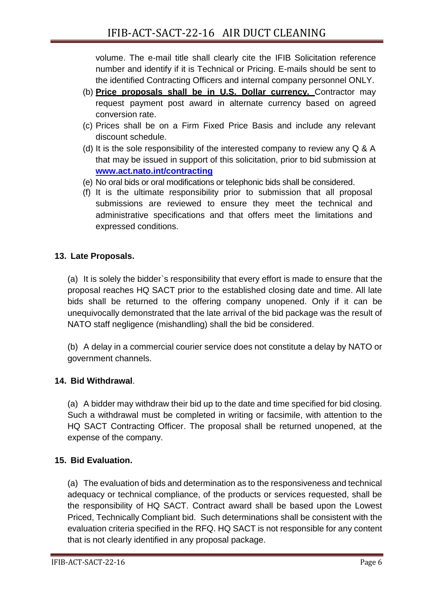volume. The e-mail title shall clearly cite the IFIB Solicitation reference number and identify if it is Technical or Pricing. E-mails should be sent to the identified Contracting Officers and internal company personnel ONLY.

- (b) **Price proposals shall be in U.S. Dollar currency.** Contractor may request payment post award in alternate currency based on agreed conversion rate.
- (c) Prices shall be on a Firm Fixed Price Basis and include any relevant discount schedule.
- (d) It is the sole responsibility of the interested company to review any Q & A that may be issued in support of this solicitation, prior to bid submission at **[www.act.nato.int/contracting](http://www.act.nato.int/contracting)**
- (e) No oral bids or oral modifications or telephonic bids shall be considered.
- (f) It is the ultimate responsibility prior to submission that all proposal submissions are reviewed to ensure they meet the technical and administrative specifications and that offers meet the limitations and expressed conditions.

# **13. Late Proposals.**

(a) It is solely the bidder`s responsibility that every effort is made to ensure that the proposal reaches HQ SACT prior to the established closing date and time. All late bids shall be returned to the offering company unopened. Only if it can be unequivocally demonstrated that the late arrival of the bid package was the result of NATO staff negligence (mishandling) shall the bid be considered.

(b) A delay in a commercial courier service does not constitute a delay by NATO or government channels.

# **14. Bid Withdrawal**.

(a) A bidder may withdraw their bid up to the date and time specified for bid closing. Such a withdrawal must be completed in writing or facsimile, with attention to the HQ SACT Contracting Officer. The proposal shall be returned unopened, at the expense of the company.

# **15. Bid Evaluation.**

(a) The evaluation of bids and determination as to the responsiveness and technical adequacy or technical compliance, of the products or services requested, shall be the responsibility of HQ SACT. Contract award shall be based upon the Lowest Priced, Technically Compliant bid. Such determinations shall be consistent with the evaluation criteria specified in the RFQ. HQ SACT is not responsible for any content that is not clearly identified in any proposal package.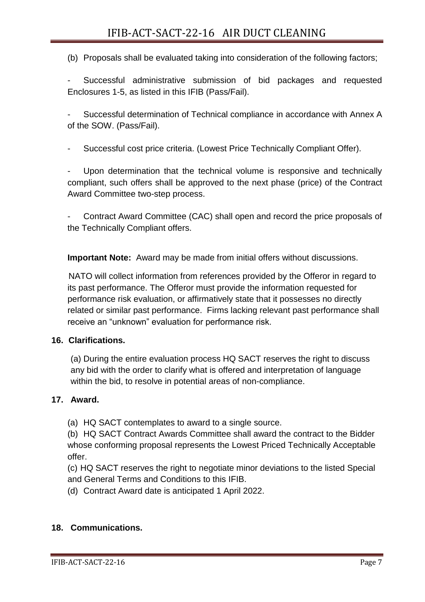(b) Proposals shall be evaluated taking into consideration of the following factors;

Successful administrative submission of bid packages and requested Enclosures 1-5, as listed in this IFIB (Pass/Fail).

Successful determination of Technical compliance in accordance with Annex A of the SOW. (Pass/Fail).

- Successful cost price criteria. (Lowest Price Technically Compliant Offer).

Upon determination that the technical volume is responsive and technically compliant, such offers shall be approved to the next phase (price) of the Contract Award Committee two-step process.

- Contract Award Committee (CAC) shall open and record the price proposals of the Technically Compliant offers.

**Important Note:** Award may be made from initial offers without discussions.

NATO will collect information from references provided by the Offeror in regard to its past performance. The Offeror must provide the information requested for performance risk evaluation, or affirmatively state that it possesses no directly related or similar past performance. Firms lacking relevant past performance shall receive an "unknown" evaluation for performance risk.

# **16. Clarifications.**

(a) During the entire evaluation process HQ SACT reserves the right to discuss any bid with the order to clarify what is offered and interpretation of language within the bid, to resolve in potential areas of non-compliance.

# **17. Award.**

(a) HQ SACT contemplates to award to a single source.

(b) HQ SACT Contract Awards Committee shall award the contract to the Bidder whose conforming proposal represents the Lowest Priced Technically Acceptable offer.

(c) HQ SACT reserves the right to negotiate minor deviations to the listed Special and General Terms and Conditions to this IFIB.

(d) Contract Award date is anticipated 1 April 2022.

### **18. Communications.**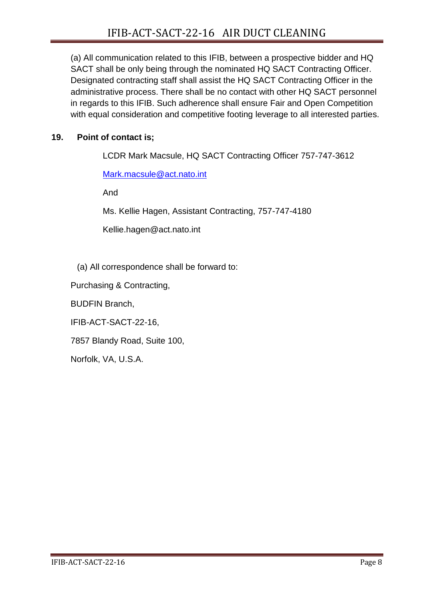(a) All communication related to this IFIB, between a prospective bidder and HQ SACT shall be only being through the nominated HQ SACT Contracting Officer. Designated contracting staff shall assist the HQ SACT Contracting Officer in the administrative process. There shall be no contact with other HQ SACT personnel in regards to this IFIB. Such adherence shall ensure Fair and Open Competition with equal consideration and competitive footing leverage to all interested parties.

# **19. Point of contact is;**

LCDR Mark Macsule, HQ SACT Contracting Officer 757-747-3612

[Mark.macsule@act.nato.int](mailto:Mark.macsule@act.nato.int)

And

Ms. Kellie Hagen, Assistant Contracting, 757-747-4180

[Kellie.hagen@act.nato.int](mailto:Kellie.hagen@act.nato.int)

(a) All correspondence shall be forward to:

Purchasing & Contracting,

BUDFIN Branch,

IFIB-ACT-SACT-22-16,

7857 Blandy Road, Suite 100,

Norfolk, VA, U.S.A.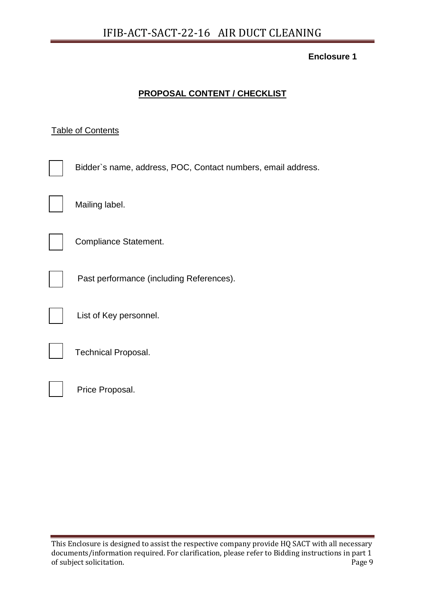# **PROPOSAL CONTENT / CHECKLIST**

# **Table of Contents**

| Bidder's name, address, POC, Contact numbers, email address. |
|--------------------------------------------------------------|
| Mailing label.                                               |
| Compliance Statement.                                        |
| Past performance (including References).                     |
| List of Key personnel.                                       |
| <b>Technical Proposal.</b>                                   |
| Price Proposal.                                              |

This Enclosure is designed to assist the respective company provide HQ SACT with all necessary documents/information required. For clarification, please refer to Bidding instructions in part 1 of subject solicitation. Page 9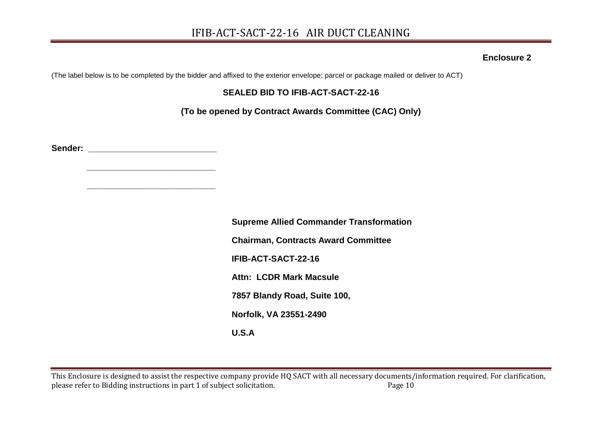(The label below is to be completed by the bidder and affixed to the exterior envelope; parcel or package mailed or deliver to ACT)

# **SEALED BID TO IFIB-ACT-SACT-22-16**

**(To be opened by Contract Awards Committee (CAC) Only)**

**Sender: \_\_\_\_\_\_\_\_\_\_\_\_\_\_\_\_\_\_\_\_\_\_\_\_\_\_\_**

 **\_\_\_\_\_\_\_\_\_\_\_\_\_\_\_\_\_\_\_\_\_\_\_\_\_\_\_**

 **\_\_\_\_\_\_\_\_\_\_\_\_\_\_\_\_\_\_\_\_\_\_\_\_\_\_\_**

**Supreme Allied Commander Transformation Chairman, Contracts Award Committee IFIB-ACT-SACT-22-16 Attn: LCDR Mark Macsule 7857 Blandy Road, Suite 100, Norfolk, VA 23551-2490 U.S.A**

This Enclosure is designed to assist the respective company provide HQ SACT with all necessary documents/information required. For clarification, please refer to Bidding instructions in part 1 of subject solicitation. Page 10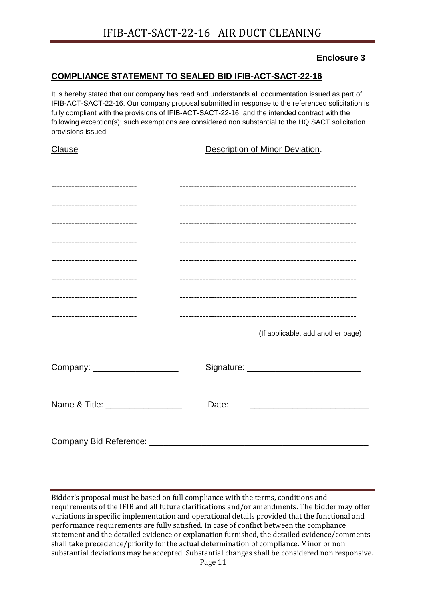## **COMPLIANCE STATEMENT TO SEALED BID IFIB-ACT-SACT-22-16**

It is hereby stated that our company has read and understands all documentation issued as part of IFIB-ACT-SACT-22-16. Our company proposal submitted in response to the referenced solicitation is fully compliant with the provisions of IFIB-ACT-SACT-22-16, and the intended contract with the following exception(s); such exemptions are considered non substantial to the HQ SACT solicitation provisions issued.

| Clause                           | Description of Minor Deviation.   |  |
|----------------------------------|-----------------------------------|--|
|                                  |                                   |  |
|                                  |                                   |  |
| ------------------------------   |                                   |  |
| ------------------------------   |                                   |  |
| -----------------------------    |                                   |  |
| ------------------------------   |                                   |  |
|                                  |                                   |  |
| ---------------------------      |                                   |  |
|                                  |                                   |  |
|                                  | (If applicable, add another page) |  |
|                                  |                                   |  |
| Company: _____________________   |                                   |  |
|                                  |                                   |  |
| Name & Title: __________________ | Date:                             |  |
|                                  |                                   |  |
| <b>Company Bid Reference:</b>    |                                   |  |

Bidder's proposal must be based on full compliance with the terms, conditions and requirements of the IFIB and all future clarifications and/or amendments. The bidder may offer variations in specific implementation and operational details provided that the functional and performance requirements are fully satisfied. In case of conflict between the compliance statement and the detailed evidence or explanation furnished, the detailed evidence/comments shall take precedence/priority for the actual determination of compliance. Minor or non substantial deviations may be accepted. Substantial changes shall be considered non responsive.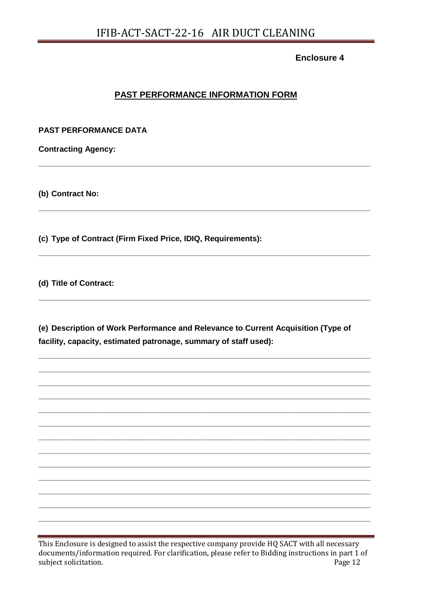# PAST PERFORMANCE INFORMATION FORM

**PAST PERFORMANCE DATA** 

**Contracting Agency:** 

(b) Contract No:

(c) Type of Contract (Firm Fixed Price, IDIQ, Requirements):

(d) Title of Contract:

(e) Description of Work Performance and Relevance to Current Acquisition (Type of facility, capacity, estimated patronage, summary of staff used):

This Enclosure is designed to assist the respective company provide HQ SACT with all necessary documents/information required. For clarification, please refer to Bidding instructions in part 1 of subject solicitation. Page 12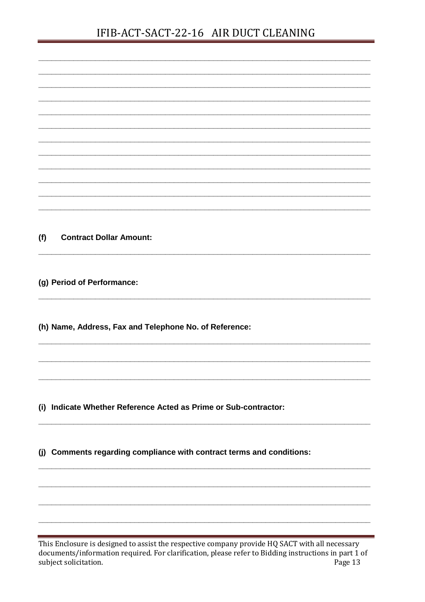# IFIB-ACT-SACT-22-16 AIR DUCT CLEANING

| <b>Contract Dollar Amount:</b><br>(f)<br>(g) Period of Performance:<br>(h) Name, Address, Fax and Telephone No. of Reference:<br>Indicate Whether Reference Acted as Prime or Sub-contractor:<br>Comments regarding compliance with contract terms and conditions: |                                                                                                |
|--------------------------------------------------------------------------------------------------------------------------------------------------------------------------------------------------------------------------------------------------------------------|------------------------------------------------------------------------------------------------|
|                                                                                                                                                                                                                                                                    |                                                                                                |
|                                                                                                                                                                                                                                                                    |                                                                                                |
|                                                                                                                                                                                                                                                                    |                                                                                                |
|                                                                                                                                                                                                                                                                    |                                                                                                |
|                                                                                                                                                                                                                                                                    |                                                                                                |
|                                                                                                                                                                                                                                                                    |                                                                                                |
|                                                                                                                                                                                                                                                                    |                                                                                                |
|                                                                                                                                                                                                                                                                    |                                                                                                |
|                                                                                                                                                                                                                                                                    |                                                                                                |
|                                                                                                                                                                                                                                                                    |                                                                                                |
|                                                                                                                                                                                                                                                                    |                                                                                                |
|                                                                                                                                                                                                                                                                    |                                                                                                |
|                                                                                                                                                                                                                                                                    |                                                                                                |
|                                                                                                                                                                                                                                                                    |                                                                                                |
|                                                                                                                                                                                                                                                                    |                                                                                                |
|                                                                                                                                                                                                                                                                    |                                                                                                |
|                                                                                                                                                                                                                                                                    |                                                                                                |
|                                                                                                                                                                                                                                                                    |                                                                                                |
|                                                                                                                                                                                                                                                                    |                                                                                                |
|                                                                                                                                                                                                                                                                    |                                                                                                |
|                                                                                                                                                                                                                                                                    |                                                                                                |
|                                                                                                                                                                                                                                                                    |                                                                                                |
|                                                                                                                                                                                                                                                                    | (i)                                                                                            |
|                                                                                                                                                                                                                                                                    |                                                                                                |
|                                                                                                                                                                                                                                                                    |                                                                                                |
|                                                                                                                                                                                                                                                                    | (j)                                                                                            |
|                                                                                                                                                                                                                                                                    |                                                                                                |
|                                                                                                                                                                                                                                                                    |                                                                                                |
|                                                                                                                                                                                                                                                                    |                                                                                                |
|                                                                                                                                                                                                                                                                    |                                                                                                |
|                                                                                                                                                                                                                                                                    |                                                                                                |
|                                                                                                                                                                                                                                                                    | This Enclosure is designed to assist the respective company provide HQ SACT with all necessary |

documents/information required. For clarification, please refer to Bidding instructions in part 1 of<br>subject solicitation. Page 13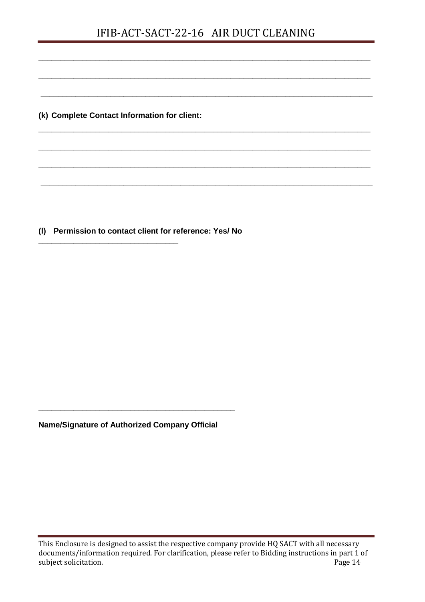# IFIB-ACT-SACT-22-16 AIR DUCT CLEANING

**\_\_\_\_\_\_\_\_\_\_\_\_\_\_\_\_\_\_\_\_\_\_\_\_\_\_\_\_\_\_\_\_\_\_\_\_\_\_\_\_\_\_\_\_\_\_\_\_\_\_\_\_\_\_\_\_\_\_\_\_\_\_\_\_\_\_\_\_\_\_\_\_\_\_\_\_**

**\_\_\_\_\_\_\_\_\_\_\_\_\_\_\_\_\_\_\_\_\_\_\_\_\_\_\_\_\_\_\_\_\_\_\_\_\_\_\_\_\_\_\_\_\_\_\_\_\_\_\_\_\_\_\_\_\_\_\_\_\_\_\_\_\_\_\_\_\_\_\_\_\_\_\_\_**

**\_\_\_\_\_\_\_\_\_\_\_\_\_\_\_\_\_\_\_\_\_\_\_\_\_\_\_\_\_\_\_\_\_\_\_\_\_\_\_\_\_\_\_\_\_\_\_\_\_\_\_\_\_\_\_\_\_\_\_\_\_\_\_\_\_\_\_\_\_\_\_\_\_\_\_\_**

**\_\_\_\_\_\_\_\_\_\_\_\_\_\_\_\_\_\_\_\_\_\_\_\_\_\_\_\_\_\_\_\_\_\_\_\_\_\_\_\_\_\_\_\_\_\_\_\_\_\_\_\_\_\_\_\_\_\_\_\_\_\_\_\_\_\_\_\_\_\_\_\_\_\_\_\_**

**\_\_\_\_\_\_\_\_\_\_\_\_\_\_\_\_\_\_\_\_\_\_\_\_\_\_\_\_\_\_\_\_\_\_\_\_\_\_\_\_\_\_\_\_\_\_\_\_\_\_\_\_\_\_\_\_\_\_\_\_\_\_\_\_\_\_\_\_\_\_\_\_\_\_\_\_**

**\_\_\_\_\_\_\_\_\_\_\_\_\_\_\_\_\_\_\_\_\_\_\_\_\_\_\_\_\_\_\_\_\_\_\_\_\_\_\_\_\_\_\_\_\_\_\_\_\_\_\_\_\_\_\_\_\_\_\_\_\_\_\_\_\_\_\_\_\_\_\_\_\_\_\_\_**

**\_\_\_\_\_\_\_\_\_\_\_\_\_\_\_\_\_\_\_\_\_\_\_\_\_\_\_\_\_\_\_\_\_\_\_\_\_\_\_\_\_\_\_\_\_\_\_\_\_\_\_\_\_\_\_\_\_\_\_\_\_\_\_\_\_\_\_\_\_\_\_\_\_\_\_\_**

**(k) Complete Contact Information for client:**

**(l) Permission to contact client for reference: Yes/ No** 

**\_\_\_\_\_\_\_\_\_\_\_\_\_\_\_\_\_\_\_\_\_\_\_\_\_\_\_\_\_\_\_\_**

**Name/Signature of Authorized Company Official** 

**\_\_\_\_\_\_\_\_\_\_\_\_\_\_\_\_\_\_\_\_\_\_\_\_\_\_\_\_\_\_\_\_\_\_\_\_\_\_\_\_\_\_\_\_\_**

This Enclosure is designed to assist the respective company provide HQ SACT with all necessary documents/information required. For clarification, please refer to Bidding instructions in part 1 of subject solicitation. Page 14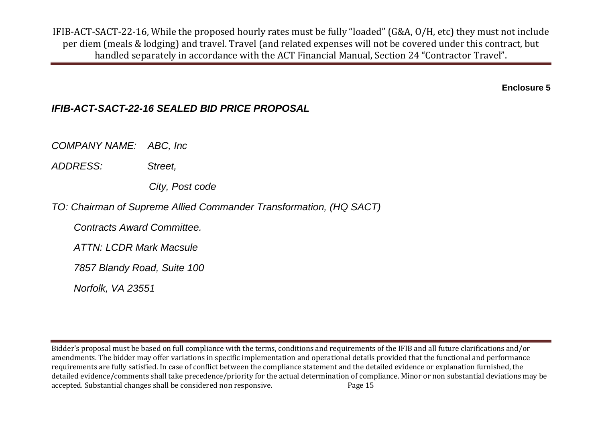IFIB-ACT-SACT-22-16, While the proposed hourly rates must be fully "loaded" (G&A, O/H, etc) they must not include per diem (meals & lodging) and travel. Travel (and related expenses will not be covered under this contract, but handled separately in accordance with the ACT Financial Manual, Section 24 "Contractor Travel".

**Enclosure 5**

# *IFIB-ACT-SACT-22-16 SEALED BID PRICE PROPOSAL*

*COMPANY NAME: ABC, Inc* 

*ADDRESS: Street,*

 *City, Post code*

*TO: Chairman of Supreme Allied Commander Transformation, (HQ SACT)*

 *Contracts Award Committee.* 

 *ATTN: LCDR Mark Macsule*

 *7857 Blandy Road, Suite 100*

 *Norfolk, VA 23551*

Bidder's proposal must be based on full compliance with the terms, conditions and requirements of the IFIB and all future clarifications and/or amendments. The bidder may offer variations in specific implementation and operational details provided that the functional and performance requirements are fully satisfied. In case of conflict between the compliance statement and the detailed evidence or explanation furnished, the detailed evidence/comments shall take precedence/priority for the actual determination of compliance. Minor or non substantial deviations may be accepted. Substantial changes shall be considered non responsive. Page 15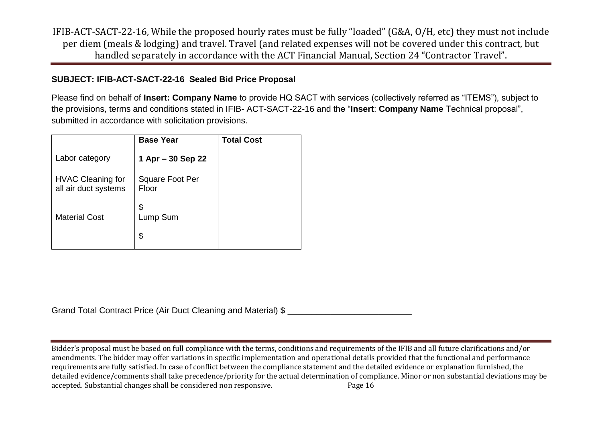IFIB-ACT-SACT-22-16, While the proposed hourly rates must be fully "loaded" (G&A, O/H, etc) they must not include per diem (meals & lodging) and travel. Travel (and related expenses will not be covered under this contract, but handled separately in accordance with the ACT Financial Manual, Section 24 "Contractor Travel".

# **SUBJECT: IFIB-ACT-SACT-22-16 Sealed Bid Price Proposal**

Please find on behalf of **Insert: Company Name** to provide HQ SACT with services (collectively referred as "ITEMS"), subject to the provisions, terms and conditions stated in IFIB- ACT-SACT-22-16 and the "**Insert**: **Company Name** Technical proposal", submitted in accordance with solicitation provisions.

|                                                  | <b>Base Year</b>                      | <b>Total Cost</b> |
|--------------------------------------------------|---------------------------------------|-------------------|
| Labor category                                   | 1 Apr $-30$ Sep 22                    |                   |
| <b>HVAC Cleaning for</b><br>all air duct systems | <b>Square Foot Per</b><br>Floor<br>\$ |                   |
| <b>Material Cost</b>                             | Lump Sum<br>\$                        |                   |

Grand Total Contract Price (Air Duct Cleaning and Material) \$

Bidder's proposal must be based on full compliance with the terms, conditions and requirements of the IFIB and all future clarifications and/or amendments. The bidder may offer variations in specific implementation and operational details provided that the functional and performance requirements are fully satisfied. In case of conflict between the compliance statement and the detailed evidence or explanation furnished, the detailed evidence/comments shall take precedence/priority for the actual determination of compliance. Minor or non substantial deviations may be accepted. Substantial changes shall be considered non responsive. Page 16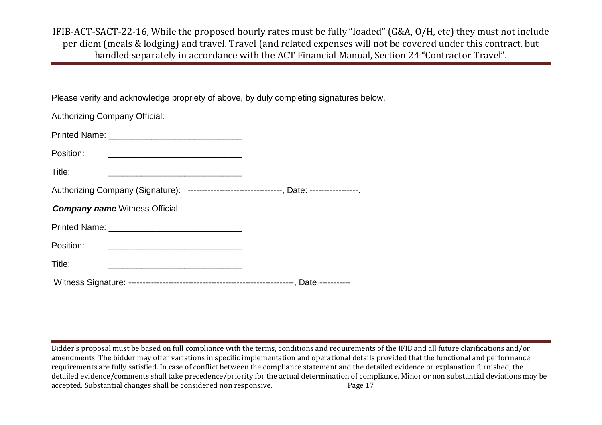IFIB-ACT-SACT-22-16, While the proposed hourly rates must be fully "loaded" (G&A, O/H, etc) they must not include per diem (meals & lodging) and travel. Travel (and related expenses will not be covered under this contract, but handled separately in accordance with the ACT Financial Manual, Section 24 "Contractor Travel".

Please verify and acknowledge propriety of above, by duly completing signatures below.

| <b>Authorizing Company Official:</b>                                                                                                                                                                                   |
|------------------------------------------------------------------------------------------------------------------------------------------------------------------------------------------------------------------------|
| Printed Name: <b>All Access Printed Name: All Access Printed Name: All Access Printed Name: All Access Printed Name: All Access Printed Name: All Access Printed Name: All Access Printed Name: All Access Printed</b> |
| Position:<br><u> 1989 - Johann John Stone, markin film yn y brenin y brenin y brenin y brenin y brenin y brenin y brenin y br</u>                                                                                      |
| Title:<br><u> 2002 - Johann Barn, amerikan personal (h. 1878).</u>                                                                                                                                                     |
| Authorizing Company (Signature): --------------------------------, Date: ----------------.                                                                                                                             |
| <b>Company name Witness Official:</b>                                                                                                                                                                                  |
|                                                                                                                                                                                                                        |
| Position:                                                                                                                                                                                                              |
| Title:<br>the control of the control of the control of the control of the control of the control of the control of the control of                                                                                      |
|                                                                                                                                                                                                                        |

Bidder's proposal must be based on full compliance with the terms, conditions and requirements of the IFIB and all future clarifications and/or amendments. The bidder may offer variations in specific implementation and operational details provided that the functional and performance requirements are fully satisfied. In case of conflict between the compliance statement and the detailed evidence or explanation furnished, the detailed evidence/comments shall take precedence/priority for the actual determination of compliance. Minor or non substantial deviations may be accepted. Substantial changes shall be considered non responsive. Page 17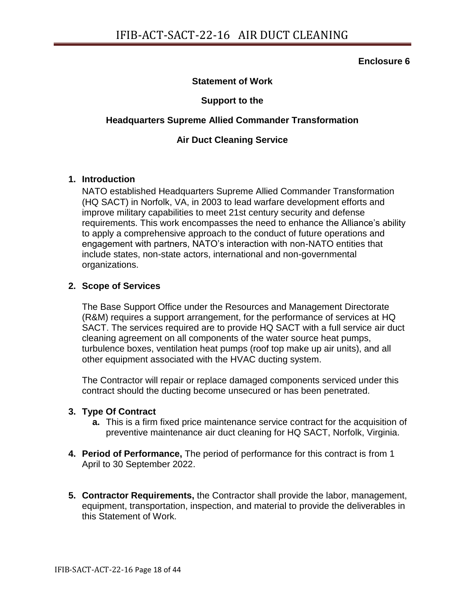### **Statement of Work**

### **Support to the**

### **Headquarters Supreme Allied Commander Transformation**

### **Air Duct Cleaning Service**

### **1. Introduction**

NATO established Headquarters Supreme Allied Commander Transformation (HQ SACT) in Norfolk, VA, in 2003 to lead warfare development efforts and improve military capabilities to meet 21st century security and defense requirements. This work encompasses the need to enhance the Alliance's ability to apply a comprehensive approach to the conduct of future operations and engagement with partners, NATO's interaction with non-NATO entities that include states, non-state actors, international and non-governmental organizations.

### **2. Scope of Services**

The Base Support Office under the Resources and Management Directorate (R&M) requires a support arrangement, for the performance of services at HQ SACT. The services required are to provide HQ SACT with a full service air duct cleaning agreement on all components of the water source heat pumps, turbulence boxes, ventilation heat pumps (roof top make up air units), and all other equipment associated with the HVAC ducting system.

The Contractor will repair or replace damaged components serviced under this contract should the ducting become unsecured or has been penetrated.

### **3. Type Of Contract**

- **a.** This is a firm fixed price maintenance service contract for the acquisition of preventive maintenance air duct cleaning for HQ SACT, Norfolk, Virginia.
- **4. Period of Performance,** The period of performance for this contract is from 1 April to 30 September 2022.
- **5. Contractor Requirements,** the Contractor shall provide the labor, management, equipment, transportation, inspection, and material to provide the deliverables in this Statement of Work.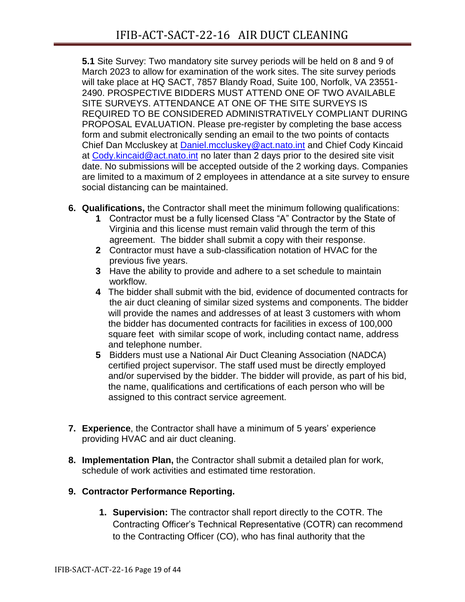**5.1** Site Survey: Two mandatory site survey periods will be held on 8 and 9 of March 2023 to allow for examination of the work sites. The site survey periods will take place at HQ SACT, 7857 Blandy Road, Suite 100, Norfolk, VA 23551- 2490. PROSPECTIVE BIDDERS MUST ATTEND ONE OF TWO AVAILABLE SITE SURVEYS. ATTENDANCE AT ONE OF THE SITE SURVEYS IS REQUIRED TO BE CONSIDERED ADMINISTRATIVELY COMPLIANT DURING PROPOSAL EVALUATION. Please pre-register by completing the base access form and submit electronically sending an email to the two points of contacts Chief Dan Mccluskey at [Daniel.mccluskey@act.nato.int](mailto:Daniel.mccluskey@act.nato.int) and Chief Cody Kincaid at [Cody.kincaid@act.nato.int](mailto:Cody.kincaid@act.nato.int) no later than 2 days prior to the desired site visit date. No submissions will be accepted outside of the 2 working days. Companies are limited to a maximum of 2 employees in attendance at a site survey to ensure social distancing can be maintained.

- **6. Qualifications,** the Contractor shall meet the minimum following qualifications:
	- **1** Contractor must be a fully licensed Class "A" Contractor by the State of Virginia and this license must remain valid through the term of this agreement. The bidder shall submit a copy with their response.
	- **2** Contractor must have a sub-classification notation of HVAC for the previous five years.
	- **3** Have the ability to provide and adhere to a set schedule to maintain workflow.
	- **4** The bidder shall submit with the bid, evidence of documented contracts for the air duct cleaning of similar sized systems and components. The bidder will provide the names and addresses of at least 3 customers with whom the bidder has documented contracts for facilities in excess of 100,000 square feet with similar scope of work, including contact name, address and telephone number.
	- **5** Bidders must use a National Air Duct Cleaning Association (NADCA) certified project supervisor. The staff used must be directly employed and/or supervised by the bidder. The bidder will provide, as part of his bid, the name, qualifications and certifications of each person who will be assigned to this contract service agreement.
- **7. Experience**, the Contractor shall have a minimum of 5 years' experience providing HVAC and air duct cleaning.
- **8. Implementation Plan,** the Contractor shall submit a detailed plan for work, schedule of work activities and estimated time restoration.

# **9. Contractor Performance Reporting.**

**1. Supervision:** The contractor shall report directly to the COTR. The Contracting Officer's Technical Representative (COTR) can recommend to the Contracting Officer (CO), who has final authority that the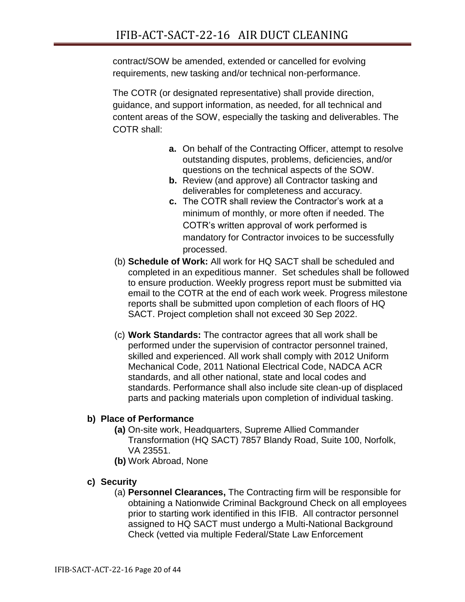contract/SOW be amended, extended or cancelled for evolving requirements, new tasking and/or technical non-performance.

The COTR (or designated representative) shall provide direction, guidance, and support information, as needed, for all technical and content areas of the SOW, especially the tasking and deliverables. The COTR shall:

- **a.** On behalf of the Contracting Officer, attempt to resolve outstanding disputes, problems, deficiencies, and/or questions on the technical aspects of the SOW.
- **b.** Review (and approve) all Contractor tasking and deliverables for completeness and accuracy.
- **c.** The COTR shall review the Contractor's work at a minimum of monthly, or more often if needed. The COTR's written approval of work performed is mandatory for Contractor invoices to be successfully processed.
- (b) **Schedule of Work:** All work for HQ SACT shall be scheduled and completed in an expeditious manner. Set schedules shall be followed to ensure production. Weekly progress report must be submitted via email to the COTR at the end of each work week. Progress milestone reports shall be submitted upon completion of each floors of HQ SACT. Project completion shall not exceed 30 Sep 2022.
- (c) **Work Standards:** The contractor agrees that all work shall be performed under the supervision of contractor personnel trained, skilled and experienced. All work shall comply with 2012 Uniform Mechanical Code, 2011 National Electrical Code, NADCA ACR standards, and all other national, state and local codes and standards. Performance shall also include site clean-up of displaced parts and packing materials upon completion of individual tasking.

# **b) Place of Performance**

- **(a)** On-site work, Headquarters, Supreme Allied Commander Transformation (HQ SACT) 7857 Blandy Road, Suite 100, Norfolk, VA 23551.
- **(b)** Work Abroad, None

# **c) Security**

(a) **Personnel Clearances,** The Contracting firm will be responsible for obtaining a Nationwide Criminal Background Check on all employees prior to starting work identified in this IFIB. All contractor personnel assigned to HQ SACT must undergo a Multi-National Background Check (vetted via multiple Federal/State Law Enforcement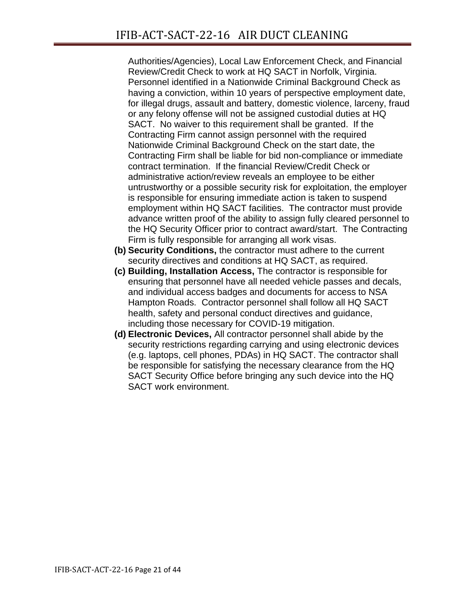Authorities/Agencies), Local Law Enforcement Check, and Financial Review/Credit Check to work at HQ SACT in Norfolk, Virginia. Personnel identified in a Nationwide Criminal Background Check as having a conviction, within 10 years of perspective employment date, for illegal drugs, assault and battery, domestic violence, larceny, fraud or any felony offense will not be assigned custodial duties at HQ SACT. No waiver to this requirement shall be granted. If the Contracting Firm cannot assign personnel with the required Nationwide Criminal Background Check on the start date, the Contracting Firm shall be liable for bid non-compliance or immediate contract termination. If the financial Review/Credit Check or administrative action/review reveals an employee to be either untrustworthy or a possible security risk for exploitation, the employer is responsible for ensuring immediate action is taken to suspend employment within HQ SACT facilities. The contractor must provide advance written proof of the ability to assign fully cleared personnel to the HQ Security Officer prior to contract award/start. The Contracting Firm is fully responsible for arranging all work visas.

- **(b) Security Conditions,** the contractor must adhere to the current security directives and conditions at HQ SACT, as required.
- **(c) Building, Installation Access,** The contractor is responsible for ensuring that personnel have all needed vehicle passes and decals, and individual access badges and documents for access to NSA Hampton Roads. Contractor personnel shall follow all HQ SACT health, safety and personal conduct directives and guidance, including those necessary for COVID-19 mitigation.
- **(d) Electronic Devices,** All contractor personnel shall abide by the security restrictions regarding carrying and using electronic devices (e.g. laptops, cell phones, PDAs) in HQ SACT. The contractor shall be responsible for satisfying the necessary clearance from the HQ SACT Security Office before bringing any such device into the HQ SACT work environment.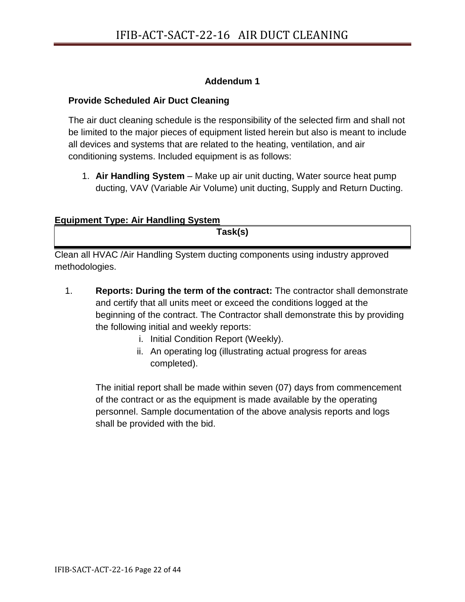# **Addendum 1**

# **Provide Scheduled Air Duct Cleaning**

The air duct cleaning schedule is the responsibility of the selected firm and shall not be limited to the major pieces of equipment listed herein but also is meant to include all devices and systems that are related to the heating, ventilation, and air conditioning systems. Included equipment is as follows:

1. **Air Handling System** – Make up air unit ducting, Water source heat pump ducting, VAV (Variable Air Volume) unit ducting, Supply and Return Ducting.

# **Equipment Type: Air Handling System**

**Task(s)**

Clean all HVAC /Air Handling System ducting components using industry approved methodologies.

- 1. **Reports: During the term of the contract:** The contractor shall demonstrate and certify that all units meet or exceed the conditions logged at the beginning of the contract. The Contractor shall demonstrate this by providing the following initial and weekly reports:
	- i. Initial Condition Report (Weekly).
	- ii. An operating log (illustrating actual progress for areas completed).

The initial report shall be made within seven (07) days from commencement of the contract or as the equipment is made available by the operating personnel. Sample documentation of the above analysis reports and logs shall be provided with the bid.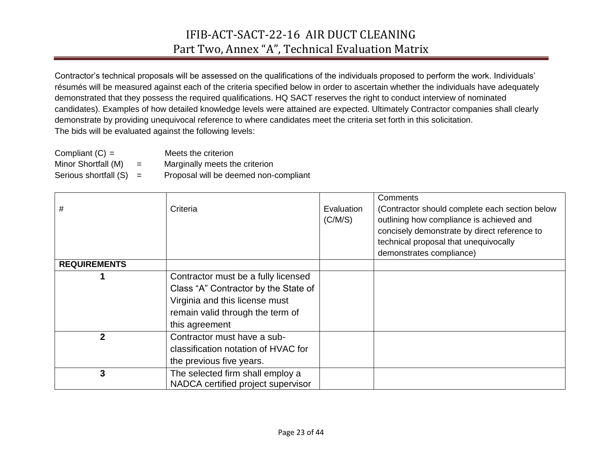# IFIB-ACT-SACT-22-16 AIR DUCT CLEANING Part Two, Annex "A", Technical Evaluation Matrix

Contractor's technical proposals will be assessed on the qualifications of the individuals proposed to perform the work. Individuals' résumés will be measured against each of the criteria specified below in order to ascertain whether the individuals have adequately demonstrated that they possess the required qualifications. HQ SACT reserves the right to conduct interview of nominated candidates). Examples of how detailed knowledge levels were attained are expected. Ultimately Contractor companies shall clearly demonstrate by providing unequivocal reference to where candidates meet the criteria set forth in this solicitation. The bids will be evaluated against the following levels:

| Compliant $(C) =$         |     | Meets the criterion                   |
|---------------------------|-----|---------------------------------------|
| Minor Shortfall (M)       | $=$ | Marginally meets the criterion        |
| Serious shortfall $(S) =$ |     | Proposal will be deemed non-compliant |

| #                   | Criteria                                                                                                                                                            | Evaluation<br>(C/M/S) | Comments<br>(Contractor should complete each section below<br>outlining how compliance is achieved and<br>concisely demonstrate by direct reference to<br>technical proposal that unequivocally |
|---------------------|---------------------------------------------------------------------------------------------------------------------------------------------------------------------|-----------------------|-------------------------------------------------------------------------------------------------------------------------------------------------------------------------------------------------|
| <b>REQUIREMENTS</b> |                                                                                                                                                                     |                       | demonstrates compliance)                                                                                                                                                                        |
|                     | Contractor must be a fully licensed<br>Class "A" Contractor by the State of<br>Virginia and this license must<br>remain valid through the term of<br>this agreement |                       |                                                                                                                                                                                                 |
| $\mathbf{2}$        | Contractor must have a sub-<br>classification notation of HVAC for<br>the previous five years.                                                                      |                       |                                                                                                                                                                                                 |
| 3                   | The selected firm shall employ a<br>NADCA certified project supervisor                                                                                              |                       |                                                                                                                                                                                                 |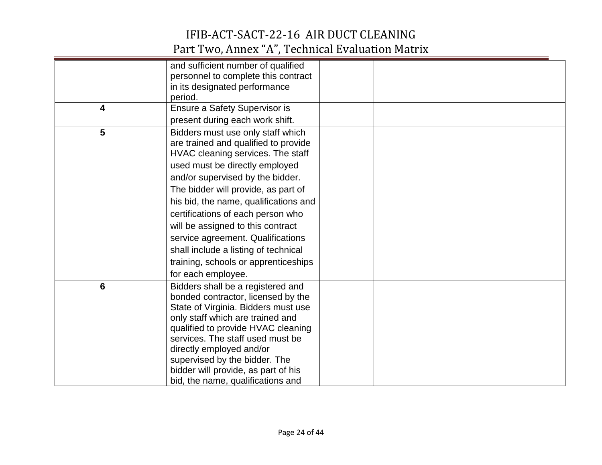# IFIB-ACT-SACT-22-16 AIR DUCT CLEANING Part Two, Annex "A", Technical Evaluation Matrix

|   | and sufficient number of qualified    |  |
|---|---------------------------------------|--|
|   | personnel to complete this contract   |  |
|   | in its designated performance         |  |
|   | period.                               |  |
| 4 | Ensure a Safety Supervisor is         |  |
|   | present during each work shift.       |  |
| 5 | Bidders must use only staff which     |  |
|   | are trained and qualified to provide  |  |
|   | HVAC cleaning services. The staff     |  |
|   | used must be directly employed        |  |
|   | and/or supervised by the bidder.      |  |
|   | The bidder will provide, as part of   |  |
|   | his bid, the name, qualifications and |  |
|   | certifications of each person who     |  |
|   | will be assigned to this contract     |  |
|   | service agreement. Qualifications     |  |
|   | shall include a listing of technical  |  |
|   | training, schools or apprenticeships  |  |
|   | for each employee.                    |  |
| 6 | Bidders shall be a registered and     |  |
|   | bonded contractor, licensed by the    |  |
|   | State of Virginia. Bidders must use   |  |
|   | only staff which are trained and      |  |
|   | qualified to provide HVAC cleaning    |  |
|   | services. The staff used must be      |  |
|   | directly employed and/or              |  |
|   | supervised by the bidder. The         |  |
|   | bidder will provide, as part of his   |  |
|   | bid, the name, qualifications and     |  |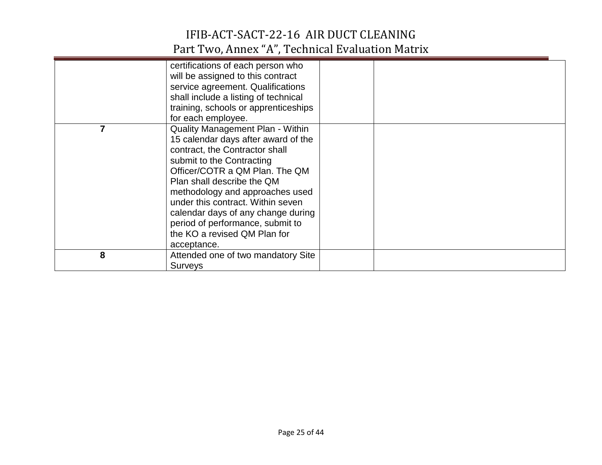# IFIB-ACT-SACT-22-16 AIR DUCT CLEANING Part Two, Annex "A", Technical Evaluation Matrix

|   | certifications of each person who<br>will be assigned to this contract<br>service agreement. Qualifications<br>shall include a listing of technical<br>training, schools or apprenticeships                                                                                                                                                                                                                                          |  |
|---|--------------------------------------------------------------------------------------------------------------------------------------------------------------------------------------------------------------------------------------------------------------------------------------------------------------------------------------------------------------------------------------------------------------------------------------|--|
|   | for each employee.<br><b>Quality Management Plan - Within</b><br>15 calendar days after award of the<br>contract, the Contractor shall<br>submit to the Contracting<br>Officer/COTR a QM Plan. The QM<br>Plan shall describe the QM<br>methodology and approaches used<br>under this contract. Within seven<br>calendar days of any change during<br>period of performance, submit to<br>the KO a revised QM Plan for<br>acceptance. |  |
| 8 | Attended one of two mandatory Site<br><b>Surveys</b>                                                                                                                                                                                                                                                                                                                                                                                 |  |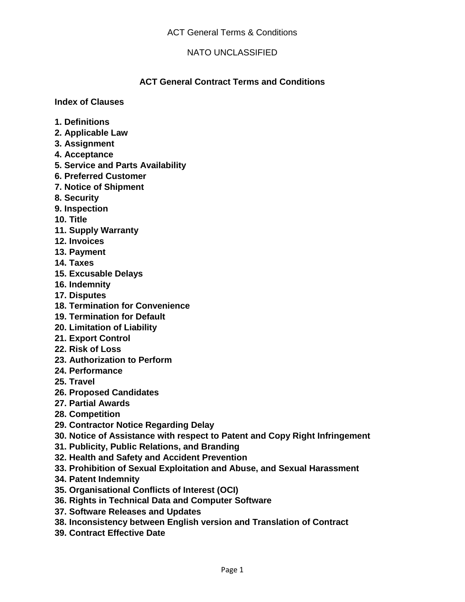## **ACT General Contract Terms and Conditions**

**Index of Clauses** 

- **1. Definitions**
- **2. Applicable Law**
- **3. Assignment**
- **4. Acceptance**
- **5. Service and Parts Availability**
- **6. Preferred Customer**
- **7. Notice of Shipment**
- **8. Security**
- **9. Inspection**
- **10. Title**
- **11. Supply Warranty**
- **12. Invoices**
- **13. Payment**
- **14. Taxes**
- **15. Excusable Delays**
- **16. Indemnity**
- **17. Disputes**
- **18. Termination for Convenience**
- **19. Termination for Default**
- **20. Limitation of Liability**
- **21. Export Control**
- **22. Risk of Loss**
- **23. Authorization to Perform**
- **24. Performance**
- **25. Travel**
- **26. Proposed Candidates**
- **27. Partial Awards**
- **28. Competition**
- **29. Contractor Notice Regarding Delay**
- **30. Notice of Assistance with respect to Patent and Copy Right Infringement**
- **31. Publicity, Public Relations, and Branding**
- **32. Health and Safety and Accident Prevention**
- **33. Prohibition of Sexual Exploitation and Abuse, and Sexual Harassment**
- **34. Patent Indemnity**
- **35. Organisational Conflicts of Interest (OCI)**
- **36. Rights in Technical Data and Computer Software**
- **37. Software Releases and Updates**
- **38. Inconsistency between English version and Translation of Contract**
- **39. Contract Effective Date**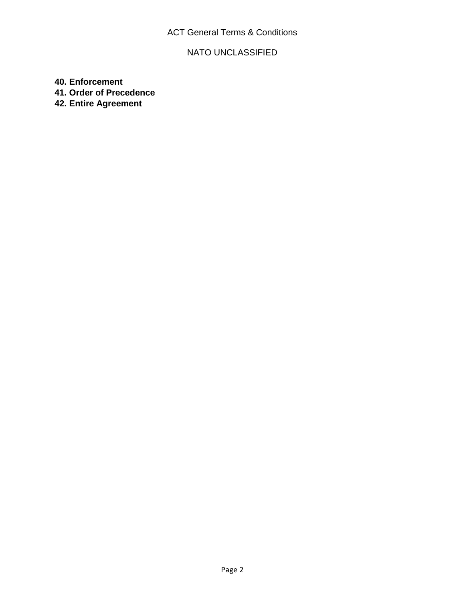# ACT General Terms & Conditions

# NATO UNCLASSIFIED

**40. Enforcement** 

**41. Order of Precedence** 

**42. Entire Agreement**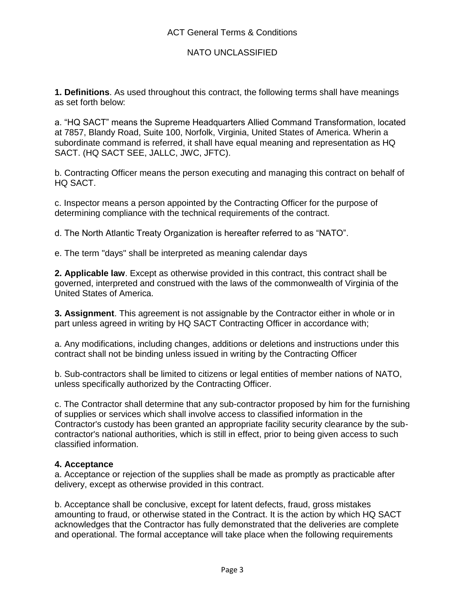**1. Definitions**. As used throughout this contract, the following terms shall have meanings as set forth below:

a. "HQ SACT" means the Supreme Headquarters Allied Command Transformation, located at 7857, Blandy Road, Suite 100, Norfolk, Virginia, United States of America. Wherin a subordinate command is referred, it shall have equal meaning and representation as HQ SACT. (HQ SACT SEE, JALLC, JWC, JFTC).

b. Contracting Officer means the person executing and managing this contract on behalf of HQ SACT.

c. Inspector means a person appointed by the Contracting Officer for the purpose of determining compliance with the technical requirements of the contract.

d. The North Atlantic Treaty Organization is hereafter referred to as "NATO".

e. The term "days" shall be interpreted as meaning calendar days

**2. Applicable law**. Except as otherwise provided in this contract, this contract shall be governed, interpreted and construed with the laws of the commonwealth of Virginia of the United States of America.

**3. Assignment**. This agreement is not assignable by the Contractor either in whole or in part unless agreed in writing by HQ SACT Contracting Officer in accordance with;

a. Any modifications, including changes, additions or deletions and instructions under this contract shall not be binding unless issued in writing by the Contracting Officer

b. Sub-contractors shall be limited to citizens or legal entities of member nations of NATO, unless specifically authorized by the Contracting Officer.

c. The Contractor shall determine that any sub-contractor proposed by him for the furnishing of supplies or services which shall involve access to classified information in the Contractor's custody has been granted an appropriate facility security clearance by the subcontractor's national authorities, which is still in effect, prior to being given access to such classified information.

#### **4. Acceptance**

a. Acceptance or rejection of the supplies shall be made as promptly as practicable after delivery, except as otherwise provided in this contract.

b. Acceptance shall be conclusive, except for latent defects, fraud, gross mistakes amounting to fraud, or otherwise stated in the Contract. It is the action by which HQ SACT acknowledges that the Contractor has fully demonstrated that the deliveries are complete and operational. The formal acceptance will take place when the following requirements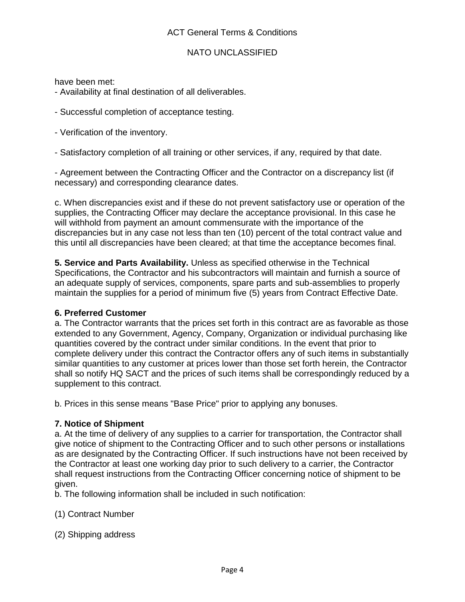have been met:

- Availability at final destination of all deliverables.

- Successful completion of acceptance testing.
- Verification of the inventory.

- Satisfactory completion of all training or other services, if any, required by that date.

- Agreement between the Contracting Officer and the Contractor on a discrepancy list (if necessary) and corresponding clearance dates.

c. When discrepancies exist and if these do not prevent satisfactory use or operation of the supplies, the Contracting Officer may declare the acceptance provisional. In this case he will withhold from payment an amount commensurate with the importance of the discrepancies but in any case not less than ten (10) percent of the total contract value and this until all discrepancies have been cleared; at that time the acceptance becomes final.

**5. Service and Parts Availability.** Unless as specified otherwise in the Technical Specifications, the Contractor and his subcontractors will maintain and furnish a source of an adequate supply of services, components, spare parts and sub-assemblies to properly maintain the supplies for a period of minimum five (5) years from Contract Effective Date.

### **6. Preferred Customer**

a. The Contractor warrants that the prices set forth in this contract are as favorable as those extended to any Government, Agency, Company, Organization or individual purchasing like quantities covered by the contract under similar conditions. In the event that prior to complete delivery under this contract the Contractor offers any of such items in substantially similar quantities to any customer at prices lower than those set forth herein, the Contractor shall so notify HQ SACT and the prices of such items shall be correspondingly reduced by a supplement to this contract.

b. Prices in this sense means "Base Price" prior to applying any bonuses.

### **7. Notice of Shipment**

a. At the time of delivery of any supplies to a carrier for transportation, the Contractor shall give notice of shipment to the Contracting Officer and to such other persons or installations as are designated by the Contracting Officer. If such instructions have not been received by the Contractor at least one working day prior to such delivery to a carrier, the Contractor shall request instructions from the Contracting Officer concerning notice of shipment to be given.

b. The following information shall be included in such notification:

### (1) Contract Number

(2) Shipping address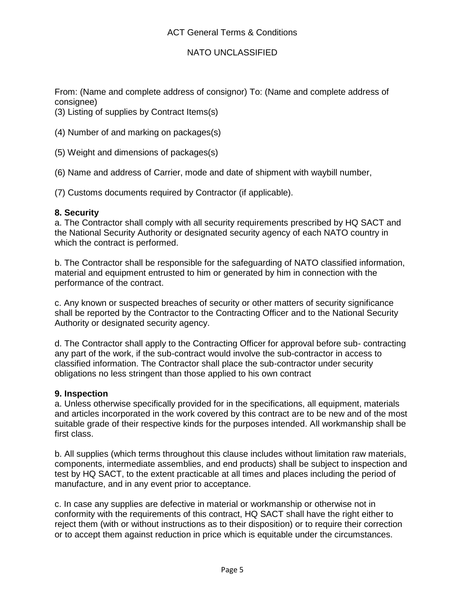From: (Name and complete address of consignor) To: (Name and complete address of consignee)

(3) Listing of supplies by Contract Items(s)

(4) Number of and marking on packages(s)

(5) Weight and dimensions of packages(s)

(6) Name and address of Carrier, mode and date of shipment with waybill number,

(7) Customs documents required by Contractor (if applicable).

### **8. Security**

a. The Contractor shall comply with all security requirements prescribed by HQ SACT and the National Security Authority or designated security agency of each NATO country in which the contract is performed.

b. The Contractor shall be responsible for the safeguarding of NATO classified information, material and equipment entrusted to him or generated by him in connection with the performance of the contract.

c. Any known or suspected breaches of security or other matters of security significance shall be reported by the Contractor to the Contracting Officer and to the National Security Authority or designated security agency.

d. The Contractor shall apply to the Contracting Officer for approval before sub- contracting any part of the work, if the sub-contract would involve the sub-contractor in access to classified information. The Contractor shall place the sub-contractor under security obligations no less stringent than those applied to his own contract

#### **9. Inspection**

a. Unless otherwise specifically provided for in the specifications, all equipment, materials and articles incorporated in the work covered by this contract are to be new and of the most suitable grade of their respective kinds for the purposes intended. All workmanship shall be first class.

b. All supplies (which terms throughout this clause includes without limitation raw materials, components, intermediate assemblies, and end products) shall be subject to inspection and test by HQ SACT, to the extent practicable at all times and places including the period of manufacture, and in any event prior to acceptance.

c. In case any supplies are defective in material or workmanship or otherwise not in conformity with the requirements of this contract, HQ SACT shall have the right either to reject them (with or without instructions as to their disposition) or to require their correction or to accept them against reduction in price which is equitable under the circumstances.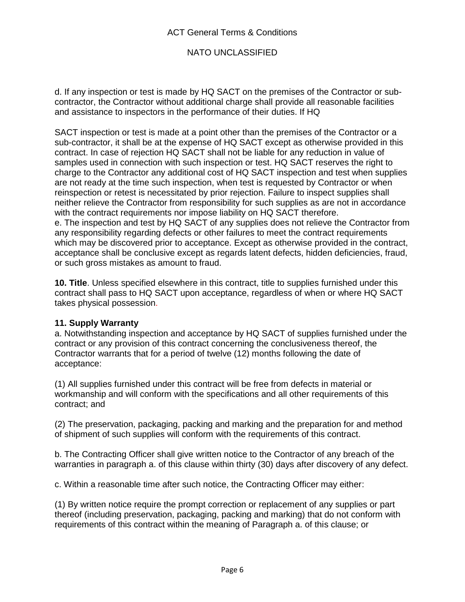d. If any inspection or test is made by HQ SACT on the premises of the Contractor or subcontractor, the Contractor without additional charge shall provide all reasonable facilities and assistance to inspectors in the performance of their duties. If HQ

SACT inspection or test is made at a point other than the premises of the Contractor or a sub-contractor, it shall be at the expense of HQ SACT except as otherwise provided in this contract. In case of rejection HQ SACT shall not be liable for any reduction in value of samples used in connection with such inspection or test. HQ SACT reserves the right to charge to the Contractor any additional cost of HQ SACT inspection and test when supplies are not ready at the time such inspection, when test is requested by Contractor or when reinspection or retest is necessitated by prior rejection. Failure to inspect supplies shall neither relieve the Contractor from responsibility for such supplies as are not in accordance with the contract requirements nor impose liability on HQ SACT therefore. e. The inspection and test by HQ SACT of any supplies does not relieve the Contractor from any responsibility regarding defects or other failures to meet the contract requirements

which may be discovered prior to acceptance. Except as otherwise provided in the contract, acceptance shall be conclusive except as regards latent defects, hidden deficiencies, fraud, or such gross mistakes as amount to fraud.

**10. Title**. Unless specified elsewhere in this contract, title to supplies furnished under this contract shall pass to HQ SACT upon acceptance, regardless of when or where HQ SACT takes physical possession.

### **11. Supply Warranty**

a. Notwithstanding inspection and acceptance by HQ SACT of supplies furnished under the contract or any provision of this contract concerning the conclusiveness thereof, the Contractor warrants that for a period of twelve (12) months following the date of acceptance:

(1) All supplies furnished under this contract will be free from defects in material or workmanship and will conform with the specifications and all other requirements of this contract; and

(2) The preservation, packaging, packing and marking and the preparation for and method of shipment of such supplies will conform with the requirements of this contract.

b. The Contracting Officer shall give written notice to the Contractor of any breach of the warranties in paragraph a. of this clause within thirty (30) days after discovery of any defect.

c. Within a reasonable time after such notice, the Contracting Officer may either:

(1) By written notice require the prompt correction or replacement of any supplies or part thereof (including preservation, packaging, packing and marking) that do not conform with requirements of this contract within the meaning of Paragraph a. of this clause; or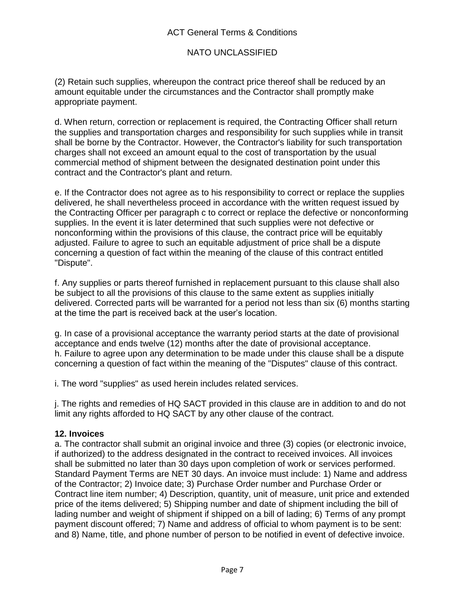### ACT General Terms & Conditions

### NATO UNCLASSIFIED

(2) Retain such supplies, whereupon the contract price thereof shall be reduced by an amount equitable under the circumstances and the Contractor shall promptly make appropriate payment.

d. When return, correction or replacement is required, the Contracting Officer shall return the supplies and transportation charges and responsibility for such supplies while in transit shall be borne by the Contractor. However, the Contractor's liability for such transportation charges shall not exceed an amount equal to the cost of transportation by the usual commercial method of shipment between the designated destination point under this contract and the Contractor's plant and return.

e. If the Contractor does not agree as to his responsibility to correct or replace the supplies delivered, he shall nevertheless proceed in accordance with the written request issued by the Contracting Officer per paragraph c to correct or replace the defective or nonconforming supplies. In the event it is later determined that such supplies were not defective or nonconforming within the provisions of this clause, the contract price will be equitably adjusted. Failure to agree to such an equitable adjustment of price shall be a dispute concerning a question of fact within the meaning of the clause of this contract entitled "Dispute".

f. Any supplies or parts thereof furnished in replacement pursuant to this clause shall also be subject to all the provisions of this clause to the same extent as supplies initially delivered. Corrected parts will be warranted for a period not less than six (6) months starting at the time the part is received back at the user's location.

g. In case of a provisional acceptance the warranty period starts at the date of provisional acceptance and ends twelve (12) months after the date of provisional acceptance. h. Failure to agree upon any determination to be made under this clause shall be a dispute concerning a question of fact within the meaning of the "Disputes" clause of this contract.

i. The word "supplies" as used herein includes related services.

j. The rights and remedies of HQ SACT provided in this clause are in addition to and do not limit any rights afforded to HQ SACT by any other clause of the contract.

#### **12. Invoices**

a. The contractor shall submit an original invoice and three (3) copies (or electronic invoice, if authorized) to the address designated in the contract to received invoices. All invoices shall be submitted no later than 30 days upon completion of work or services performed. Standard Payment Terms are NET 30 days. An invoice must include: 1) Name and address of the Contractor; 2) Invoice date; 3) Purchase Order number and Purchase Order or Contract line item number; 4) Description, quantity, unit of measure, unit price and extended price of the items delivered; 5) Shipping number and date of shipment including the bill of lading number and weight of shipment if shipped on a bill of lading; 6) Terms of any prompt payment discount offered; 7) Name and address of official to whom payment is to be sent: and 8) Name, title, and phone number of person to be notified in event of defective invoice.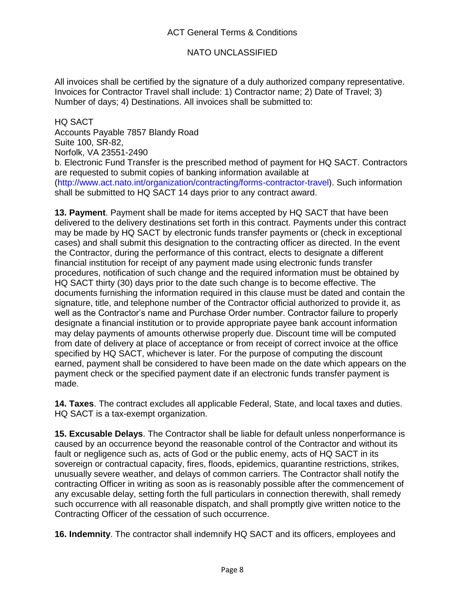All invoices shall be certified by the signature of a duly authorized company representative. Invoices for Contractor Travel shall include: 1) Contractor name; 2) Date of Travel; 3) Number of days; 4) Destinations. All invoices shall be submitted to:

HQ SACT Accounts Payable 7857 Blandy Road Suite 100, SR-82, Norfolk, VA 23551-2490 b. Electronic Fund Transfer is the prescribed method of payment for HQ SACT. Contractors are requested to submit copies of banking information available at (http://www.act.nato.int/organization/contracting/forms-contractor-travel). Such information shall be submitted to HQ SACT 14 days prior to any contract award.

**13. Payment**. Payment shall be made for items accepted by HQ SACT that have been delivered to the delivery destinations set forth in this contract. Payments under this contract may be made by HQ SACT by electronic funds transfer payments or (check in exceptional cases) and shall submit this designation to the contracting officer as directed. In the event the Contractor, during the performance of this contract, elects to designate a different financial institution for receipt of any payment made using electronic funds transfer procedures, notification of such change and the required information must be obtained by HQ SACT thirty (30) days prior to the date such change is to become effective. The documents furnishing the information required in this clause must be dated and contain the signature, title, and telephone number of the Contractor official authorized to provide it, as well as the Contractor's name and Purchase Order number. Contractor failure to properly designate a financial institution or to provide appropriate payee bank account information may delay payments of amounts otherwise properly due. Discount time will be computed from date of delivery at place of acceptance or from receipt of correct invoice at the office specified by HQ SACT, whichever is later. For the purpose of computing the discount earned, payment shall be considered to have been made on the date which appears on the payment check or the specified payment date if an electronic funds transfer payment is made.

**14. Taxes**. The contract excludes all applicable Federal, State, and local taxes and duties. HQ SACT is a tax-exempt organization.

**15. Excusable Delays**. The Contractor shall be liable for default unless nonperformance is caused by an occurrence beyond the reasonable control of the Contractor and without its fault or negligence such as, acts of God or the public enemy, acts of HQ SACT in its sovereign or contractual capacity, fires, floods, epidemics, quarantine restrictions, strikes, unusually severe weather, and delays of common carriers. The Contractor shall notify the contracting Officer in writing as soon as is reasonably possible after the commencement of any excusable delay, setting forth the full particulars in connection therewith, shall remedy such occurrence with all reasonable dispatch, and shall promptly give written notice to the Contracting Officer of the cessation of such occurrence.

**16. Indemnity**. The contractor shall indemnify HQ SACT and its officers, employees and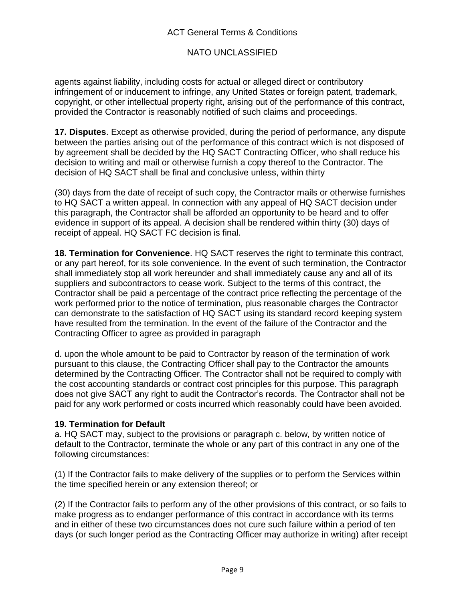agents against liability, including costs for actual or alleged direct or contributory infringement of or inducement to infringe, any United States or foreign patent, trademark, copyright, or other intellectual property right, arising out of the performance of this contract, provided the Contractor is reasonably notified of such claims and proceedings.

**17. Disputes**. Except as otherwise provided, during the period of performance, any dispute between the parties arising out of the performance of this contract which is not disposed of by agreement shall be decided by the HQ SACT Contracting Officer, who shall reduce his decision to writing and mail or otherwise furnish a copy thereof to the Contractor. The decision of HQ SACT shall be final and conclusive unless, within thirty

(30) days from the date of receipt of such copy, the Contractor mails or otherwise furnishes to HQ SACT a written appeal. In connection with any appeal of HQ SACT decision under this paragraph, the Contractor shall be afforded an opportunity to be heard and to offer evidence in support of its appeal. A decision shall be rendered within thirty (30) days of receipt of appeal. HQ SACT FC decision is final.

**18. Termination for Convenience**. HQ SACT reserves the right to terminate this contract, or any part hereof, for its sole convenience. In the event of such termination, the Contractor shall immediately stop all work hereunder and shall immediately cause any and all of its suppliers and subcontractors to cease work. Subject to the terms of this contract, the Contractor shall be paid a percentage of the contract price reflecting the percentage of the work performed prior to the notice of termination, plus reasonable charges the Contractor can demonstrate to the satisfaction of HQ SACT using its standard record keeping system have resulted from the termination. In the event of the failure of the Contractor and the Contracting Officer to agree as provided in paragraph

d. upon the whole amount to be paid to Contractor by reason of the termination of work pursuant to this clause, the Contracting Officer shall pay to the Contractor the amounts determined by the Contracting Officer. The Contractor shall not be required to comply with the cost accounting standards or contract cost principles for this purpose. This paragraph does not give SACT any right to audit the Contractor's records. The Contractor shall not be paid for any work performed or costs incurred which reasonably could have been avoided.

### **19. Termination for Default**

a. HQ SACT may, subject to the provisions or paragraph c. below, by written notice of default to the Contractor, terminate the whole or any part of this contract in any one of the following circumstances:

(1) If the Contractor fails to make delivery of the supplies or to perform the Services within the time specified herein or any extension thereof; or

(2) If the Contractor fails to perform any of the other provisions of this contract, or so fails to make progress as to endanger performance of this contract in accordance with its terms and in either of these two circumstances does not cure such failure within a period of ten days (or such longer period as the Contracting Officer may authorize in writing) after receipt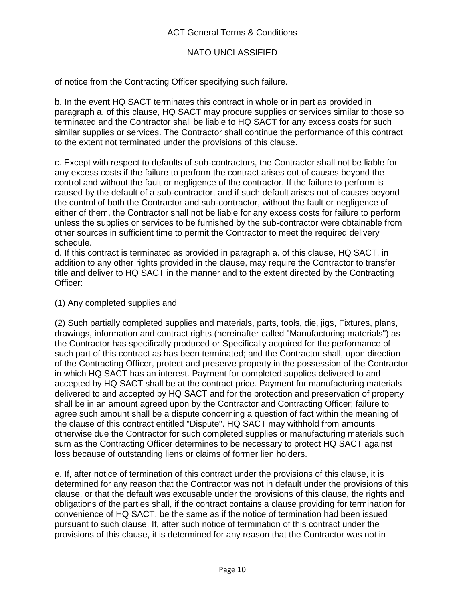of notice from the Contracting Officer specifying such failure.

b. In the event HQ SACT terminates this contract in whole or in part as provided in paragraph a. of this clause, HQ SACT may procure supplies or services similar to those so terminated and the Contractor shall be liable to HQ SACT for any excess costs for such similar supplies or services. The Contractor shall continue the performance of this contract to the extent not terminated under the provisions of this clause.

c. Except with respect to defaults of sub-contractors, the Contractor shall not be liable for any excess costs if the failure to perform the contract arises out of causes beyond the control and without the fault or negligence of the contractor. If the failure to perform is caused by the default of a sub-contractor, and if such default arises out of causes beyond the control of both the Contractor and sub-contractor, without the fault or negligence of either of them, the Contractor shall not be liable for any excess costs for failure to perform unless the supplies or services to be furnished by the sub-contractor were obtainable from other sources in sufficient time to permit the Contractor to meet the required delivery schedule.

d. If this contract is terminated as provided in paragraph a. of this clause, HQ SACT, in addition to any other rights provided in the clause, may require the Contractor to transfer title and deliver to HQ SACT in the manner and to the extent directed by the Contracting Officer:

#### (1) Any completed supplies and

(2) Such partially completed supplies and materials, parts, tools, die, jigs, Fixtures, plans, drawings, information and contract rights (hereinafter called "Manufacturing materials") as the Contractor has specifically produced or Specifically acquired for the performance of such part of this contract as has been terminated; and the Contractor shall, upon direction of the Contracting Officer, protect and preserve property in the possession of the Contractor in which HQ SACT has an interest. Payment for completed supplies delivered to and accepted by HQ SACT shall be at the contract price. Payment for manufacturing materials delivered to and accepted by HQ SACT and for the protection and preservation of property shall be in an amount agreed upon by the Contractor and Contracting Officer; failure to agree such amount shall be a dispute concerning a question of fact within the meaning of the clause of this contract entitled "Dispute". HQ SACT may withhold from amounts otherwise due the Contractor for such completed supplies or manufacturing materials such sum as the Contracting Officer determines to be necessary to protect HQ SACT against loss because of outstanding liens or claims of former lien holders.

e. If, after notice of termination of this contract under the provisions of this clause, it is determined for any reason that the Contractor was not in default under the provisions of this clause, or that the default was excusable under the provisions of this clause, the rights and obligations of the parties shall, if the contract contains a clause providing for termination for convenience of HQ SACT, be the same as if the notice of termination had been issued pursuant to such clause. If, after such notice of termination of this contract under the provisions of this clause, it is determined for any reason that the Contractor was not in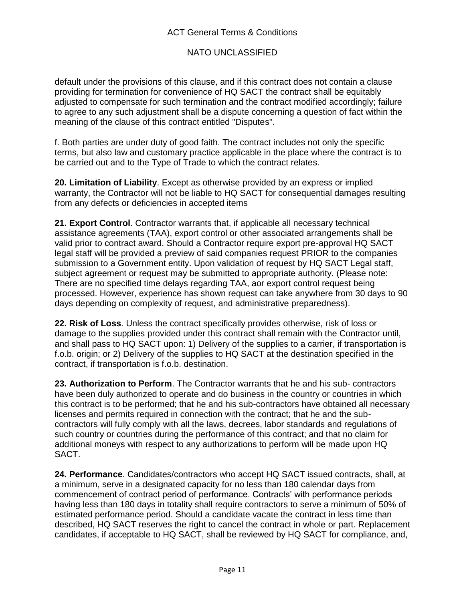### ACT General Terms & Conditions

### NATO UNCLASSIFIED

default under the provisions of this clause, and if this contract does not contain a clause providing for termination for convenience of HQ SACT the contract shall be equitably adjusted to compensate for such termination and the contract modified accordingly; failure to agree to any such adjustment shall be a dispute concerning a question of fact within the meaning of the clause of this contract entitled "Disputes".

f. Both parties are under duty of good faith. The contract includes not only the specific terms, but also law and customary practice applicable in the place where the contract is to be carried out and to the Type of Trade to which the contract relates.

**20. Limitation of Liability**. Except as otherwise provided by an express or implied warranty, the Contractor will not be liable to HQ SACT for consequential damages resulting from any defects or deficiencies in accepted items

**21. Export Control**. Contractor warrants that, if applicable all necessary technical assistance agreements (TAA), export control or other associated arrangements shall be valid prior to contract award. Should a Contractor require export pre-approval HQ SACT legal staff will be provided a preview of said companies request PRIOR to the companies submission to a Government entity. Upon validation of request by HQ SACT Legal staff, subject agreement or request may be submitted to appropriate authority. (Please note: There are no specified time delays regarding TAA, aor export control request being processed. However, experience has shown request can take anywhere from 30 days to 90 days depending on complexity of request, and administrative preparedness).

**22. Risk of Loss**. Unless the contract specifically provides otherwise, risk of loss or damage to the supplies provided under this contract shall remain with the Contractor until, and shall pass to HQ SACT upon: 1) Delivery of the supplies to a carrier, if transportation is f.o.b. origin; or 2) Delivery of the supplies to HQ SACT at the destination specified in the contract, if transportation is f.o.b. destination.

**23. Authorization to Perform**. The Contractor warrants that he and his sub- contractors have been duly authorized to operate and do business in the country or countries in which this contract is to be performed; that he and his sub-contractors have obtained all necessary licenses and permits required in connection with the contract; that he and the subcontractors will fully comply with all the laws, decrees, labor standards and regulations of such country or countries during the performance of this contract; and that no claim for additional moneys with respect to any authorizations to perform will be made upon HQ SACT.

**24. Performance**. Candidates/contractors who accept HQ SACT issued contracts, shall, at a minimum, serve in a designated capacity for no less than 180 calendar days from commencement of contract period of performance. Contracts' with performance periods having less than 180 days in totality shall require contractors to serve a minimum of 50% of estimated performance period. Should a candidate vacate the contract in less time than described, HQ SACT reserves the right to cancel the contract in whole or part. Replacement candidates, if acceptable to HQ SACT, shall be reviewed by HQ SACT for compliance, and,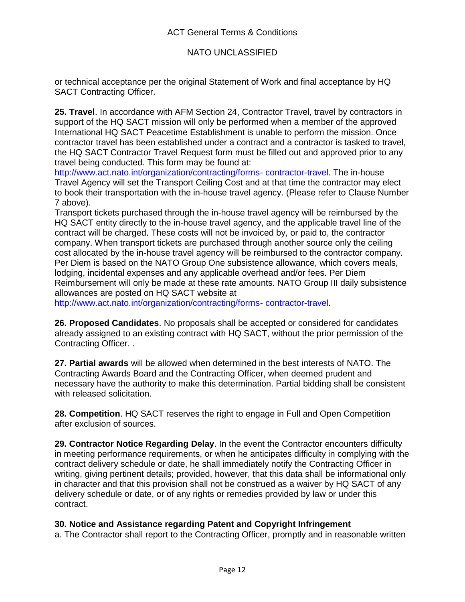### ACT General Terms & Conditions

### NATO UNCLASSIFIED

or technical acceptance per the original Statement of Work and final acceptance by HQ SACT Contracting Officer.

**25. Travel**. In accordance with AFM Section 24, Contractor Travel, travel by contractors in support of the HQ SACT mission will only be performed when a member of the approved International HQ SACT Peacetime Establishment is unable to perform the mission. Once contractor travel has been established under a contract and a contractor is tasked to travel, the HQ SACT Contractor Travel Request form must be filled out and approved prior to any travel being conducted. This form may be found at:

http://www.act.nato.int/organization/contracting/forms- contractor-travel. The in-house Travel Agency will set the Transport Ceiling Cost and at that time the contractor may elect to book their transportation with the in-house travel agency. (Please refer to Clause Number 7 above).

Transport tickets purchased through the in-house travel agency will be reimbursed by the HQ SACT entity directly to the in-house travel agency, and the applicable travel line of the contract will be charged. These costs will not be invoiced by, or paid to, the contractor company. When transport tickets are purchased through another source only the ceiling cost allocated by the in-house travel agency will be reimbursed to the contractor company. Per Diem is based on the NATO Group One subsistence allowance, which covers meals, lodging, incidental expenses and any applicable overhead and/or fees. Per Diem Reimbursement will only be made at these rate amounts. NATO Group III daily subsistence allowances are posted on HQ SACT website at

http://www.act.nato.int/organization/contracting/forms- contractor-travel.

**26. Proposed Candidates**. No proposals shall be accepted or considered for candidates already assigned to an existing contract with HQ SACT, without the prior permission of the Contracting Officer. .

**27. Partial awards** will be allowed when determined in the best interests of NATO. The Contracting Awards Board and the Contracting Officer, when deemed prudent and necessary have the authority to make this determination. Partial bidding shall be consistent with released solicitation.

**28. Competition**. HQ SACT reserves the right to engage in Full and Open Competition after exclusion of sources.

**29. Contractor Notice Regarding Delay**. In the event the Contractor encounters difficulty in meeting performance requirements, or when he anticipates difficulty in complying with the contract delivery schedule or date, he shall immediately notify the Contracting Officer in writing, giving pertinent details; provided, however, that this data shall be informational only in character and that this provision shall not be construed as a waiver by HQ SACT of any delivery schedule or date, or of any rights or remedies provided by law or under this contract.

#### **30. Notice and Assistance regarding Patent and Copyright Infringement**

a. The Contractor shall report to the Contracting Officer, promptly and in reasonable written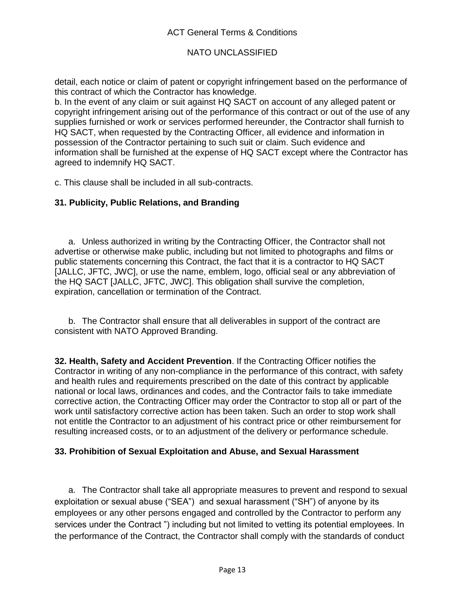detail, each notice or claim of patent or copyright infringement based on the performance of this contract of which the Contractor has knowledge.

b. In the event of any claim or suit against HQ SACT on account of any alleged patent or copyright infringement arising out of the performance of this contract or out of the use of any supplies furnished or work or services performed hereunder, the Contractor shall furnish to HQ SACT, when requested by the Contracting Officer, all evidence and information in possession of the Contractor pertaining to such suit or claim. Such evidence and information shall be furnished at the expense of HQ SACT except where the Contractor has agreed to indemnify HQ SACT.

c. This clause shall be included in all sub-contracts.

### **31. Publicity, Public Relations, and Branding**

a. Unless authorized in writing by the Contracting Officer, the Contractor shall not advertise or otherwise make public, including but not limited to photographs and films or public statements concerning this Contract, the fact that it is a contractor to HQ SACT [JALLC, JFTC, JWC], or use the name, emblem, logo, official seal or any abbreviation of the HQ SACT [JALLC, JFTC, JWC]. This obligation shall survive the completion, expiration, cancellation or termination of the Contract.

b. The Contractor shall ensure that all deliverables in support of the contract are consistent with NATO Approved Branding.

**32. Health, Safety and Accident Prevention**. If the Contracting Officer notifies the Contractor in writing of any non-compliance in the performance of this contract, with safety and health rules and requirements prescribed on the date of this contract by applicable national or local laws, ordinances and codes, and the Contractor fails to take immediate corrective action, the Contracting Officer may order the Contractor to stop all or part of the work until satisfactory corrective action has been taken. Such an order to stop work shall not entitle the Contractor to an adjustment of his contract price or other reimbursement for resulting increased costs, or to an adjustment of the delivery or performance schedule.

### **33. Prohibition of Sexual Exploitation and Abuse, and Sexual Harassment**

a. The Contractor shall take all appropriate measures to prevent and respond to sexual exploitation or sexual abuse ("SEA") and sexual harassment ("SH") of anyone by its employees or any other persons engaged and controlled by the Contractor to perform any services under the Contract ") including but not limited to vetting its potential employees. In the performance of the Contract, the Contractor shall comply with the standards of conduct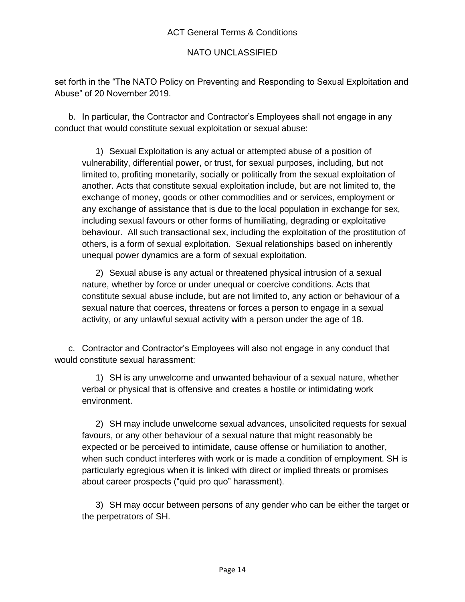set forth in the "The NATO Policy on Preventing and Responding to Sexual Exploitation and Abuse" of 20 November 2019.

b. In particular, the Contractor and Contractor's Employees shall not engage in any conduct that would constitute sexual exploitation or sexual abuse:

1) Sexual Exploitation is any actual or attempted abuse of a position of vulnerability, differential power, or trust, for sexual purposes, including, but not limited to, profiting monetarily, socially or politically from the sexual exploitation of another. Acts that constitute sexual exploitation include, but are not limited to, the exchange of money, goods or other commodities and or services, employment or any exchange of assistance that is due to the local population in exchange for sex, including sexual favours or other forms of humiliating, degrading or exploitative behaviour. All such transactional sex, including the exploitation of the prostitution of others, is a form of sexual exploitation. Sexual relationships based on inherently unequal power dynamics are a form of sexual exploitation.

2) Sexual abuse is any actual or threatened physical intrusion of a sexual nature, whether by force or under unequal or coercive conditions. Acts that constitute sexual abuse include, but are not limited to, any action or behaviour of a sexual nature that coerces, threatens or forces a person to engage in a sexual activity, or any unlawful sexual activity with a person under the age of 18.

c. Contractor and Contractor's Employees will also not engage in any conduct that would constitute sexual harassment:

1) SH is any unwelcome and unwanted behaviour of a sexual nature, whether verbal or physical that is offensive and creates a hostile or intimidating work environment.

2) SH may include unwelcome sexual advances, unsolicited requests for sexual favours, or any other behaviour of a sexual nature that might reasonably be expected or be perceived to intimidate, cause offense or humiliation to another, when such conduct interferes with work or is made a condition of employment. SH is particularly egregious when it is linked with direct or implied threats or promises about career prospects ("quid pro quo" harassment).

3) SH may occur between persons of any gender who can be either the target or the perpetrators of SH.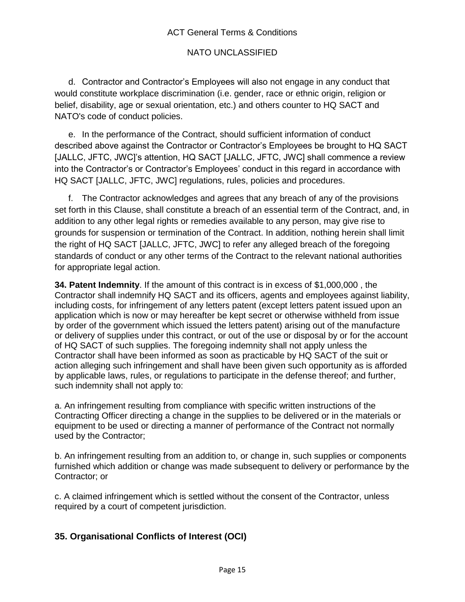### ACT General Terms & Conditions

## NATO UNCLASSIFIED

d. Contractor and Contractor's Employees will also not engage in any conduct that would constitute workplace discrimination (i.e. gender, race or ethnic origin, religion or belief, disability, age or sexual orientation, etc.) and others counter to HQ SACT and NATO's code of conduct policies.

e. In the performance of the Contract, should sufficient information of conduct described above against the Contractor or Contractor's Employees be brought to HQ SACT [JALLC, JFTC, JWC]'s attention, HQ SACT [JALLC, JFTC, JWC] shall commence a review into the Contractor's or Contractor's Employees' conduct in this regard in accordance with HQ SACT [JALLC, JFTC, JWC] regulations, rules, policies and procedures.

f. The Contractor acknowledges and agrees that any breach of any of the provisions set forth in this Clause, shall constitute a breach of an essential term of the Contract, and, in addition to any other legal rights or remedies available to any person, may give rise to grounds for suspension or termination of the Contract. In addition, nothing herein shall limit the right of HQ SACT [JALLC, JFTC, JWC] to refer any alleged breach of the foregoing standards of conduct or any other terms of the Contract to the relevant national authorities for appropriate legal action.

**34. Patent Indemnity**. If the amount of this contract is in excess of \$1,000,000 , the Contractor shall indemnify HQ SACT and its officers, agents and employees against liability, including costs, for infringement of any letters patent (except letters patent issued upon an application which is now or may hereafter be kept secret or otherwise withheld from issue by order of the government which issued the letters patent) arising out of the manufacture or delivery of supplies under this contract, or out of the use or disposal by or for the account of HQ SACT of such supplies. The foregoing indemnity shall not apply unless the Contractor shall have been informed as soon as practicable by HQ SACT of the suit or action alleging such infringement and shall have been given such opportunity as is afforded by applicable laws, rules, or regulations to participate in the defense thereof; and further, such indemnity shall not apply to:

a. An infringement resulting from compliance with specific written instructions of the Contracting Officer directing a change in the supplies to be delivered or in the materials or equipment to be used or directing a manner of performance of the Contract not normally used by the Contractor;

b. An infringement resulting from an addition to, or change in, such supplies or components furnished which addition or change was made subsequent to delivery or performance by the Contractor; or

c. A claimed infringement which is settled without the consent of the Contractor, unless required by a court of competent jurisdiction.

# **35. Organisational Conflicts of Interest (OCI)**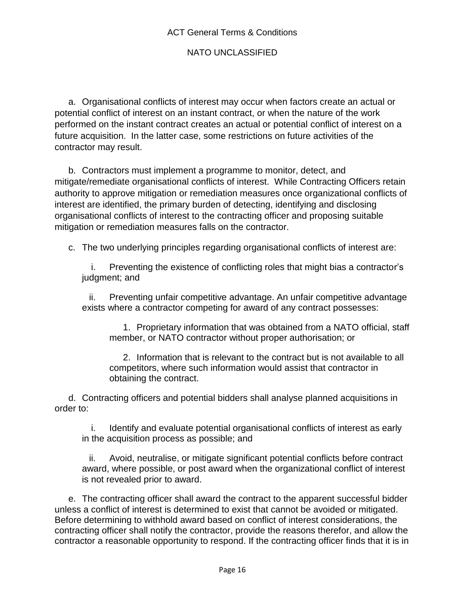a. Organisational conflicts of interest may occur when factors create an actual or potential conflict of interest on an instant contract, or when the nature of the work performed on the instant contract creates an actual or potential conflict of interest on a future acquisition. In the latter case, some restrictions on future activities of the contractor may result.

b. Contractors must implement a programme to monitor, detect, and mitigate/remediate organisational conflicts of interest. While Contracting Officers retain authority to approve mitigation or remediation measures once organizational conflicts of interest are identified, the primary burden of detecting, identifying and disclosing organisational conflicts of interest to the contracting officer and proposing suitable mitigation or remediation measures falls on the contractor.

c. The two underlying principles regarding organisational conflicts of interest are:

i. Preventing the existence of conflicting roles that might bias a contractor's judgment; and

ii. Preventing unfair competitive advantage. An unfair competitive advantage exists where a contractor competing for award of any contract possesses:

1. Proprietary information that was obtained from a NATO official, staff member, or NATO contractor without proper authorisation; or

2. Information that is relevant to the contract but is not available to all competitors, where such information would assist that contractor in obtaining the contract.

d. Contracting officers and potential bidders shall analyse planned acquisitions in order to:

i. Identify and evaluate potential organisational conflicts of interest as early in the acquisition process as possible; and

ii. Avoid, neutralise, or mitigate significant potential conflicts before contract award, where possible, or post award when the organizational conflict of interest is not revealed prior to award.

e. The contracting officer shall award the contract to the apparent successful bidder unless a conflict of interest is determined to exist that cannot be avoided or mitigated. Before determining to withhold award based on conflict of interest considerations, the contracting officer shall notify the contractor, provide the reasons therefor, and allow the contractor a reasonable opportunity to respond. If the contracting officer finds that it is in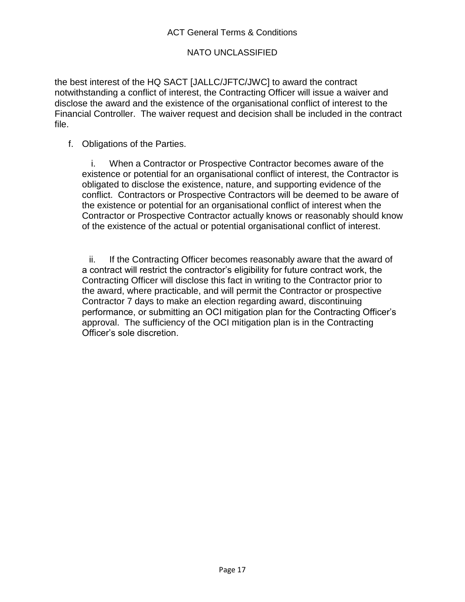the best interest of the HQ SACT [JALLC/JFTC/JWC] to award the contract notwithstanding a conflict of interest, the Contracting Officer will issue a waiver and disclose the award and the existence of the organisational conflict of interest to the Financial Controller. The waiver request and decision shall be included in the contract file.

f. Obligations of the Parties.

i. When a Contractor or Prospective Contractor becomes aware of the existence or potential for an organisational conflict of interest, the Contractor is obligated to disclose the existence, nature, and supporting evidence of the conflict. Contractors or Prospective Contractors will be deemed to be aware of the existence or potential for an organisational conflict of interest when the Contractor or Prospective Contractor actually knows or reasonably should know of the existence of the actual or potential organisational conflict of interest.

ii. If the Contracting Officer becomes reasonably aware that the award of a contract will restrict the contractor's eligibility for future contract work, the Contracting Officer will disclose this fact in writing to the Contractor prior to the award, where practicable, and will permit the Contractor or prospective Contractor 7 days to make an election regarding award, discontinuing performance, or submitting an OCI mitigation plan for the Contracting Officer's approval. The sufficiency of the OCI mitigation plan is in the Contracting Officer's sole discretion.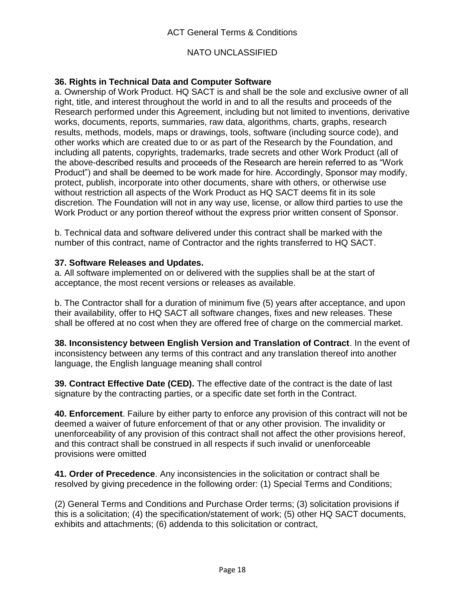### **36. Rights in Technical Data and Computer Software**

a. Ownership of Work Product. HQ SACT is and shall be the sole and exclusive owner of all right, title, and interest throughout the world in and to all the results and proceeds of the Research performed under this Agreement, including but not limited to inventions, derivative works, documents, reports, summaries, raw data, algorithms, charts, graphs, research results, methods, models, maps or drawings, tools, software (including source code), and other works which are created due to or as part of the Research by the Foundation, and including all patents, copyrights, trademarks, trade secrets and other Work Product (all of the above-described results and proceeds of the Research are herein referred to as "Work Product") and shall be deemed to be work made for hire. Accordingly, Sponsor may modify, protect, publish, incorporate into other documents, share with others, or otherwise use without restriction all aspects of the Work Product as HQ SACT deems fit in its sole discretion. The Foundation will not in any way use, license, or allow third parties to use the Work Product or any portion thereof without the express prior written consent of Sponsor.

b. Technical data and software delivered under this contract shall be marked with the number of this contract, name of Contractor and the rights transferred to HQ SACT.

#### **37. Software Releases and Updates.**

a. All software implemented on or delivered with the supplies shall be at the start of acceptance, the most recent versions or releases as available.

b. The Contractor shall for a duration of minimum five (5) years after acceptance, and upon their availability, offer to HQ SACT all software changes, fixes and new releases. These shall be offered at no cost when they are offered free of charge on the commercial market.

**38. Inconsistency between English Version and Translation of Contract**. In the event of inconsistency between any terms of this contract and any translation thereof into another language, the English language meaning shall control

**39. Contract Effective Date (CED).** The effective date of the contract is the date of last signature by the contracting parties, or a specific date set forth in the Contract.

**40. Enforcement**. Failure by either party to enforce any provision of this contract will not be deemed a waiver of future enforcement of that or any other provision. The invalidity or unenforceability of any provision of this contract shall not affect the other provisions hereof, and this contract shall be construed in all respects if such invalid or unenforceable provisions were omitted

**41. Order of Precedence**. Any inconsistencies in the solicitation or contract shall be resolved by giving precedence in the following order: (1) Special Terms and Conditions;

(2) General Terms and Conditions and Purchase Order terms; (3) solicitation provisions if this is a solicitation; (4) the specification/statement of work; (5) other HQ SACT documents, exhibits and attachments; (6) addenda to this solicitation or contract,